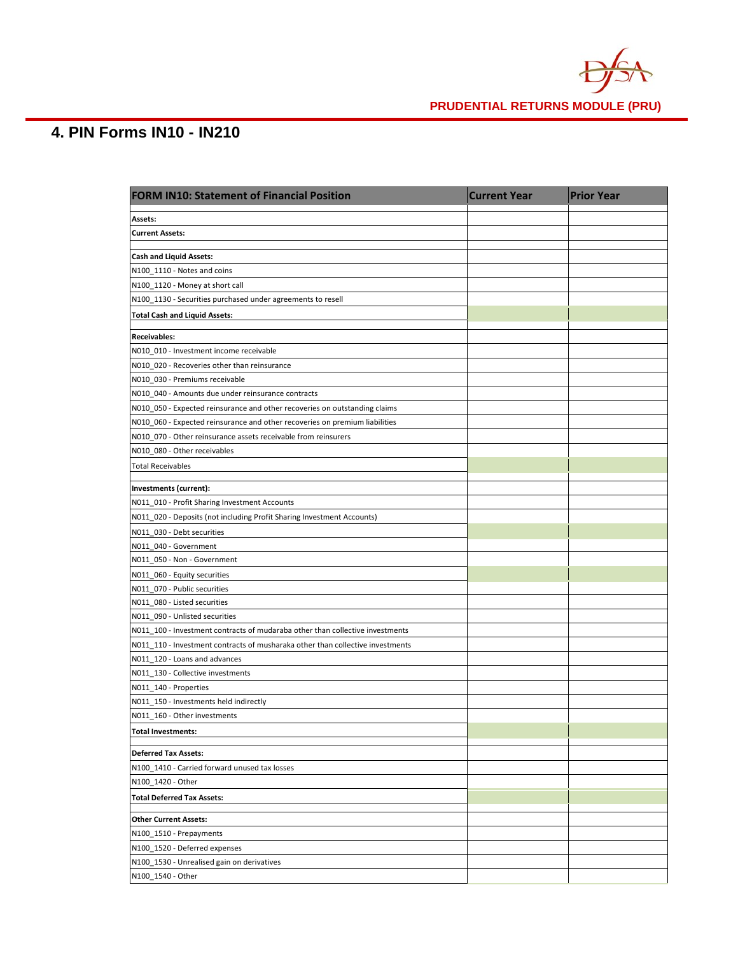

# **4. PIN Forms IN10 - IN210**

| <b>FORM IN10: Statement of Financial Position</b>                              | <b>Current Year</b> | <b>Prior Year</b> |
|--------------------------------------------------------------------------------|---------------------|-------------------|
| Assets:                                                                        |                     |                   |
| <b>Current Assets:</b>                                                         |                     |                   |
|                                                                                |                     |                   |
| <b>Cash and Liquid Assets:</b>                                                 |                     |                   |
| N100_1110 - Notes and coins                                                    |                     |                   |
| N100_1120 - Money at short call                                                |                     |                   |
| N100_1130 - Securities purchased under agreements to resell                    |                     |                   |
| <b>Total Cash and Liquid Assets:</b>                                           |                     |                   |
| <b>Receivables:</b>                                                            |                     |                   |
| N010 010 - Investment income receivable                                        |                     |                   |
| N010 020 - Recoveries other than reinsurance                                   |                     |                   |
| N010 030 - Premiums receivable                                                 |                     |                   |
| N010 040 - Amounts due under reinsurance contracts                             |                     |                   |
| N010_050 - Expected reinsurance and other recoveries on outstanding claims     |                     |                   |
| N010_060 - Expected reinsurance and other recoveries on premium liabilities    |                     |                   |
| N010 070 - Other reinsurance assets receivable from reinsurers                 |                     |                   |
| N010_080 - Other receivables                                                   |                     |                   |
| <b>Total Receivables</b>                                                       |                     |                   |
| Investments (current):                                                         |                     |                   |
| N011 010 - Profit Sharing Investment Accounts                                  |                     |                   |
| N011 020 - Deposits (not including Profit Sharing Investment Accounts)         |                     |                   |
| N011_030 - Debt securities                                                     |                     |                   |
| N011_040 - Government                                                          |                     |                   |
| N011_050 - Non - Government                                                    |                     |                   |
| N011_060 - Equity securities                                                   |                     |                   |
| N011_070 - Public securities                                                   |                     |                   |
| N011_080 - Listed securities                                                   |                     |                   |
| N011_090 - Unlisted securities                                                 |                     |                   |
| N011_100 - Investment contracts of mudaraba other than collective investments  |                     |                   |
| N011_110 - Investment contracts of musharaka other than collective investments |                     |                   |
| N011_120 - Loans and advances                                                  |                     |                   |
| N011_130 - Collective investments                                              |                     |                   |
| N011_140 - Properties                                                          |                     |                   |
| N011_150 - Investments held indirectly                                         |                     |                   |
| N011_160 - Other investments                                                   |                     |                   |
| <b>Total Investments:</b>                                                      |                     |                   |
|                                                                                |                     |                   |
| <b>Deferred Tax Assets:</b><br>N100_1410 - Carried forward unused tax losses   |                     |                   |
| N100_1420 - Other                                                              |                     |                   |
| <b>Total Deferred Tax Assets:</b>                                              |                     |                   |
|                                                                                |                     |                   |
| <b>Other Current Assets:</b>                                                   |                     |                   |
| N100_1510 - Prepayments                                                        |                     |                   |
| N100_1520 - Deferred expenses                                                  |                     |                   |
| N100_1530 - Unrealised gain on derivatives                                     |                     |                   |
| N100_1540 - Other                                                              |                     |                   |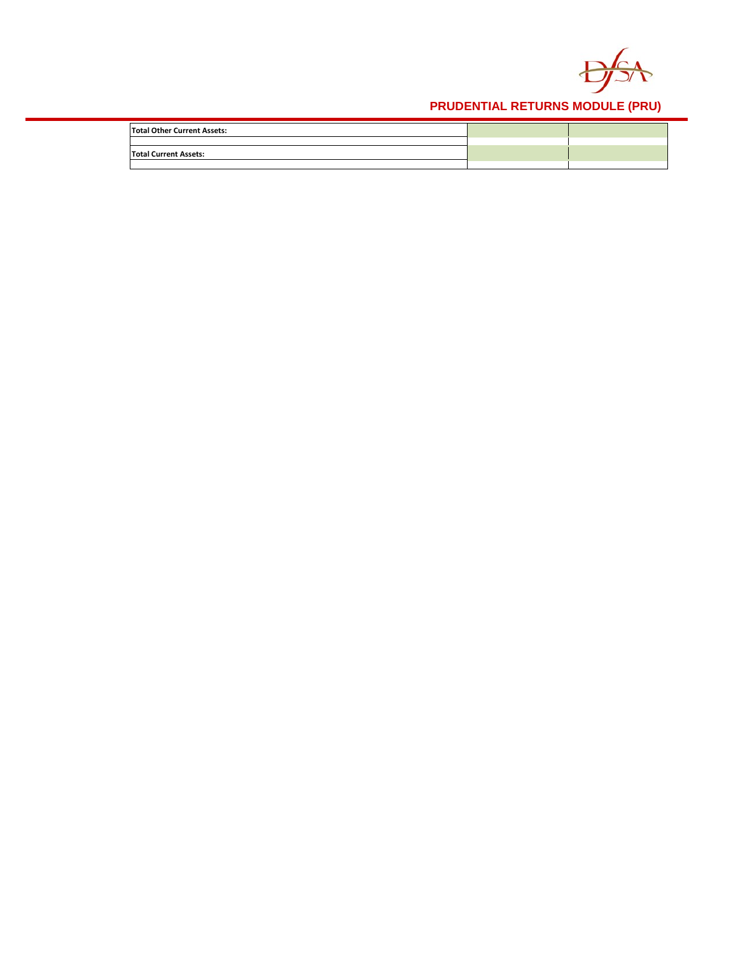

| <b>Total Other Current Assets:</b> |  |
|------------------------------------|--|
|                                    |  |
| <b>Total Current Assets:</b>       |  |
|                                    |  |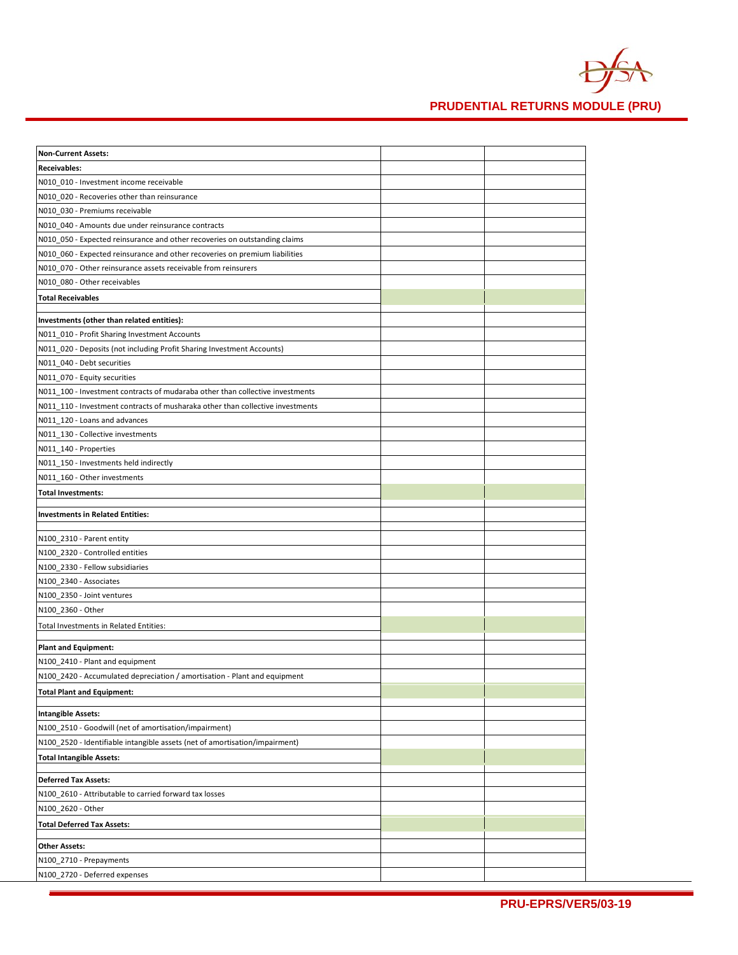

| <b>Non-Current Assets:</b>                                                     |  |
|--------------------------------------------------------------------------------|--|
| <b>Receivables:</b>                                                            |  |
| N010 010 - Investment income receivable                                        |  |
| N010_020 - Recoveries other than reinsurance                                   |  |
| N010_030 - Premiums receivable                                                 |  |
| N010 040 - Amounts due under reinsurance contracts                             |  |
| N010_050 - Expected reinsurance and other recoveries on outstanding claims     |  |
| N010_060 - Expected reinsurance and other recoveries on premium liabilities    |  |
| N010_070 - Other reinsurance assets receivable from reinsurers                 |  |
| N010_080 - Other receivables                                                   |  |
| <b>Total Receivables</b>                                                       |  |
|                                                                                |  |
| Investments (other than related entities):                                     |  |
| N011_010 - Profit Sharing Investment Accounts                                  |  |
| N011_020 - Deposits (not including Profit Sharing Investment Accounts)         |  |
| N011_040 - Debt securities                                                     |  |
| N011_070 - Equity securities                                                   |  |
| N011 100 - Investment contracts of mudaraba other than collective investments  |  |
| N011_110 - Investment contracts of musharaka other than collective investments |  |
| N011_120 - Loans and advances                                                  |  |
| N011 130 - Collective investments                                              |  |
| N011_140 - Properties                                                          |  |
| N011_150 - Investments held indirectly                                         |  |
| N011_160 - Other investments                                                   |  |
| <b>Total Investments:</b>                                                      |  |
| <b>Investments in Related Entities:</b>                                        |  |
|                                                                                |  |
| N100_2310 - Parent entity                                                      |  |
| N100_2320 - Controlled entities                                                |  |
| N100_2330 - Fellow subsidiaries                                                |  |
| N100_2340 - Associates                                                         |  |
| N100_2350 - Joint ventures                                                     |  |
| N100_2360 - Other                                                              |  |
| Total Investments in Related Entities:                                         |  |
|                                                                                |  |
| <b>Plant and Equipment:</b><br>N100_2410 - Plant and equipment                 |  |
| N100_2420 - Accumulated depreciation / amortisation - Plant and equipment      |  |
|                                                                                |  |
| <b>Total Plant and Equipment:</b>                                              |  |
| <b>Intangible Assets:</b>                                                      |  |
| N100_2510 - Goodwill (net of amortisation/impairment)                          |  |
| N100_2520 - Identifiable intangible assets (net of amortisation/impairment)    |  |
| <b>Total Intangible Assets:</b>                                                |  |
|                                                                                |  |
| <b>Deferred Tax Assets:</b>                                                    |  |
| N100 2610 - Attributable to carried forward tax losses                         |  |
| N100_2620 - Other                                                              |  |
| <b>Total Deferred Tax Assets:</b>                                              |  |
| <b>Other Assets:</b>                                                           |  |
| N100_2710 - Prepayments                                                        |  |
| N100_2720 - Deferred expenses                                                  |  |
|                                                                                |  |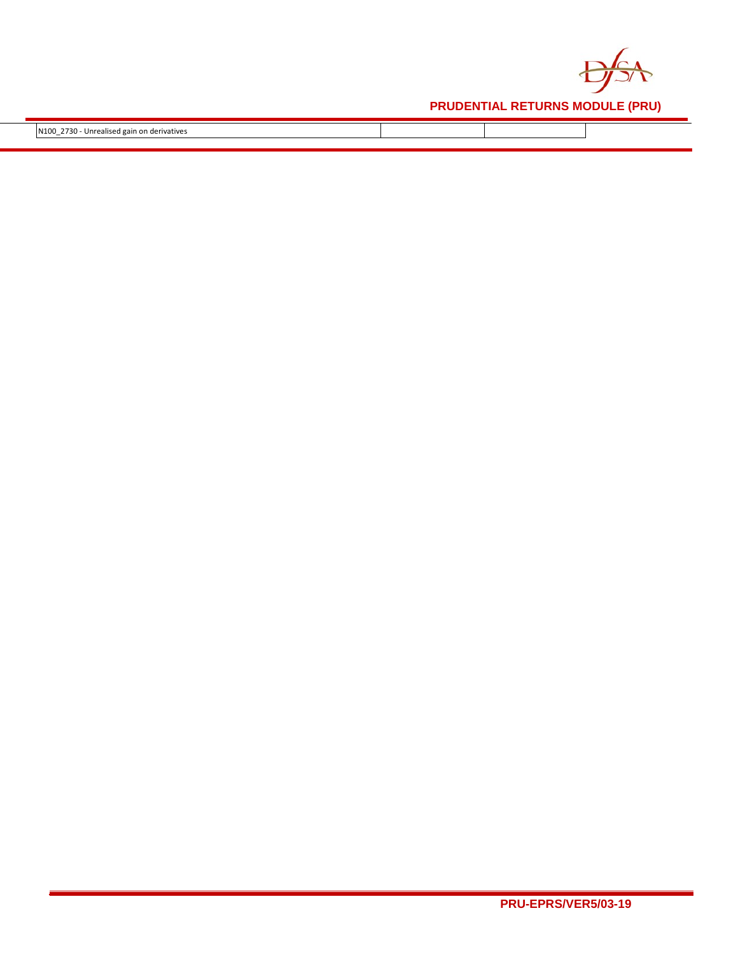

N100\_2730 - Unrealised gain on derivatives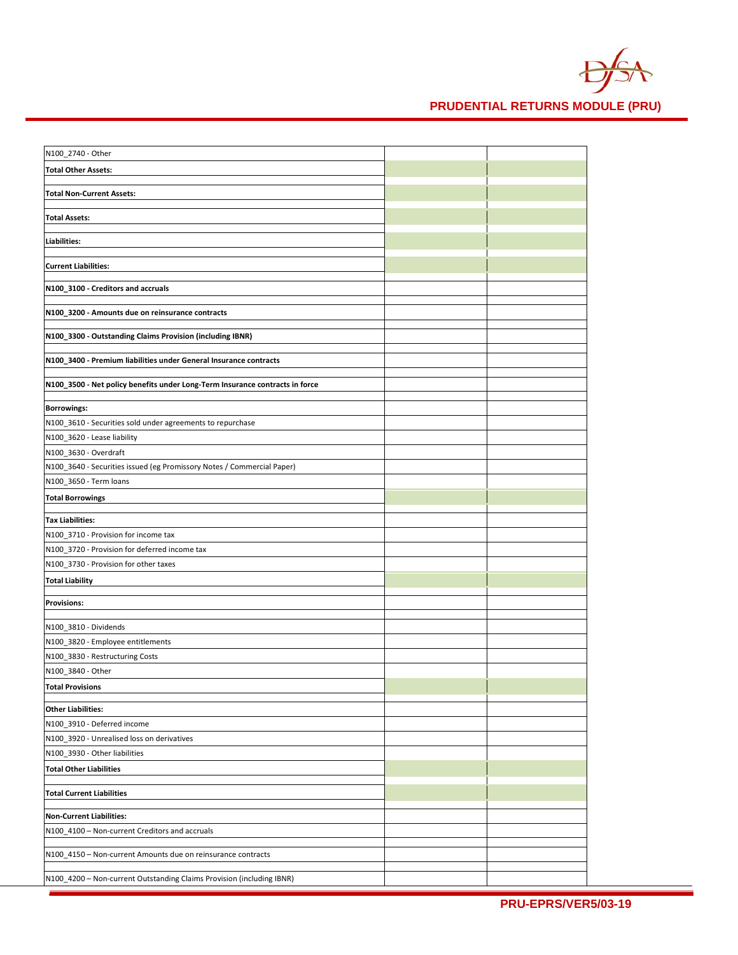

| N100_2740 - Other                                                            |  |
|------------------------------------------------------------------------------|--|
| <b>Total Other Assets:</b>                                                   |  |
|                                                                              |  |
| <b>Total Non-Current Assets:</b>                                             |  |
| <b>Total Assets:</b>                                                         |  |
|                                                                              |  |
| <b>Liabilities:</b>                                                          |  |
| <b>Current Liabilities:</b>                                                  |  |
|                                                                              |  |
| N100_3100 - Creditors and accruals                                           |  |
| N100_3200 - Amounts due on reinsurance contracts                             |  |
|                                                                              |  |
| N100_3300 - Outstanding Claims Provision (including IBNR)                    |  |
|                                                                              |  |
| N100_3400 - Premium liabilities under General Insurance contracts            |  |
| N100_3500 - Net policy benefits under Long-Term Insurance contracts in force |  |
|                                                                              |  |
| <b>Borrowings:</b>                                                           |  |
| N100_3610 - Securities sold under agreements to repurchase                   |  |
| N100_3620 - Lease liability                                                  |  |
| N100_3630 - Overdraft                                                        |  |
| N100_3640 - Securities issued (eg Promissory Notes / Commercial Paper)       |  |
| N100_3650 - Term loans                                                       |  |
| <b>Total Borrowings</b>                                                      |  |
| <b>Tax Liabilities:</b>                                                      |  |
| N100_3710 - Provision for income tax                                         |  |
| N100_3720 - Provision for deferred income tax                                |  |
| N100_3730 - Provision for other taxes                                        |  |
| <b>Total Liability</b>                                                       |  |
|                                                                              |  |
| <b>Provisions:</b>                                                           |  |
| N100_3810 - Dividends                                                        |  |
| N100_3820 - Employee entitlements                                            |  |
| N100_3830 - Restructuring Costs                                              |  |
| N100_3840 - Other                                                            |  |
| <b>Total Provisions</b>                                                      |  |
| <b>Other Liabilities:</b>                                                    |  |
| N100_3910 - Deferred income                                                  |  |
| N100_3920 - Unrealised loss on derivatives                                   |  |
| N100_3930 - Other liabilities                                                |  |
| <b>Total Other Liabilities</b>                                               |  |
|                                                                              |  |
| <b>Total Current Liabilities</b>                                             |  |
| <b>Non-Current Liabilities:</b>                                              |  |
| N100 4100 - Non-current Creditors and accruals                               |  |
|                                                                              |  |
| N100_4150 - Non-current Amounts due on reinsurance contracts                 |  |
| N100_4200 - Non-current Outstanding Claims Provision (including IBNR)        |  |
|                                                                              |  |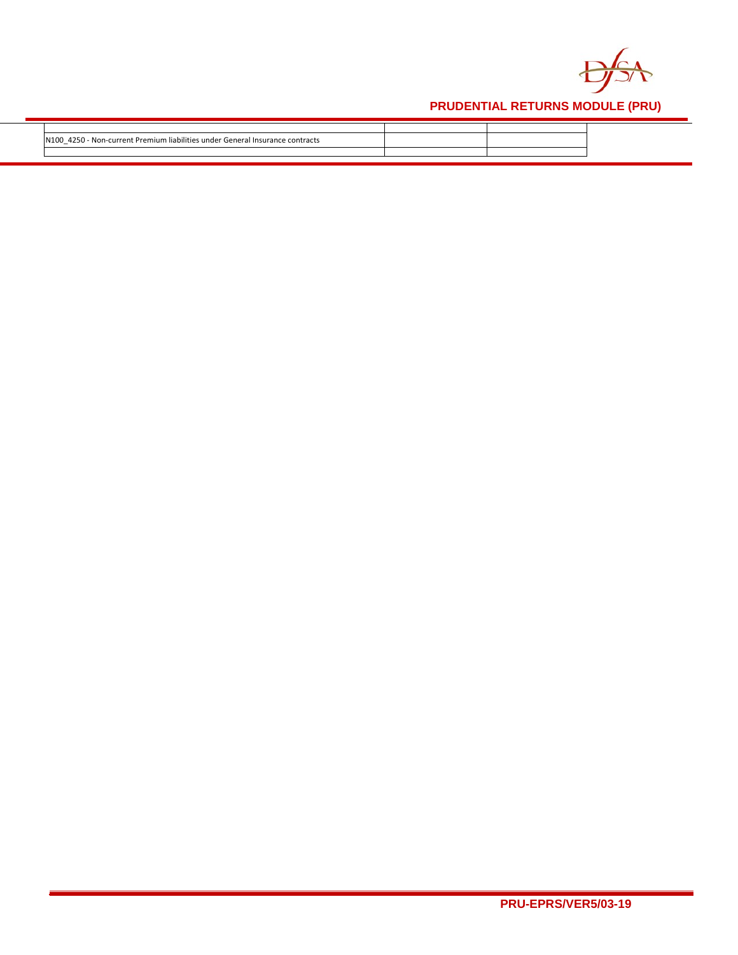

| 4250.<br>. General<br>Non<br>-current Premium<br>Insurance<br>contracts<br><b>LODULTIAC</b><br>$-$ |  |
|----------------------------------------------------------------------------------------------------|--|
|                                                                                                    |  |
|                                                                                                    |  |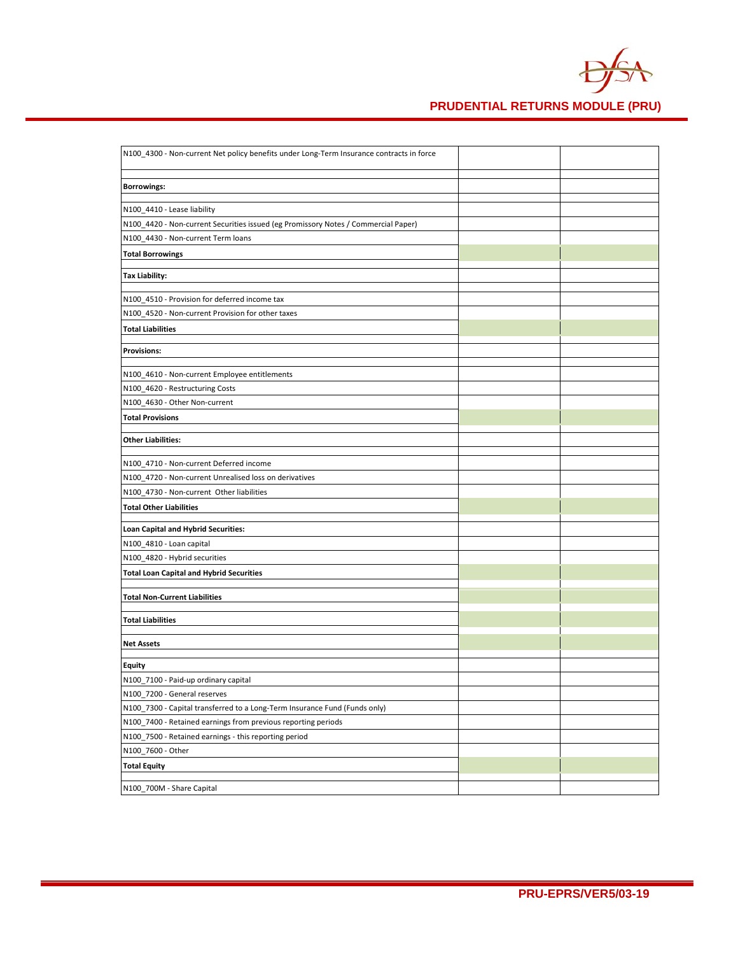

| N100_4300 - Non-current Net policy benefits under Long-Term Insurance contracts in force |  |
|------------------------------------------------------------------------------------------|--|
|                                                                                          |  |
| <b>Borrowings:</b>                                                                       |  |
| N100_4410 - Lease liability                                                              |  |
| N100_4420 - Non-current Securities issued (eg Promissory Notes / Commercial Paper)       |  |
| N100 4430 - Non-current Term loans                                                       |  |
|                                                                                          |  |
| <b>Total Borrowings</b>                                                                  |  |
| <b>Tax Liability:</b>                                                                    |  |
|                                                                                          |  |
| N100 4510 - Provision for deferred income tax                                            |  |
| N100_4520 - Non-current Provision for other taxes                                        |  |
| <b>Total Liabilities</b>                                                                 |  |
| <b>Provisions:</b>                                                                       |  |
|                                                                                          |  |
| N100_4610 - Non-current Employee entitlements                                            |  |
| N100_4620 - Restructuring Costs                                                          |  |
| N100 4630 - Other Non-current                                                            |  |
| <b>Total Provisions</b>                                                                  |  |
| <b>Other Liabilities:</b>                                                                |  |
|                                                                                          |  |
| N100 4710 - Non-current Deferred income                                                  |  |
| N100_4720 - Non-current Unrealised loss on derivatives                                   |  |
| N100_4730 - Non-current Other liabilities                                                |  |
| <b>Total Other Liabilities</b>                                                           |  |
| Loan Capital and Hybrid Securities:                                                      |  |
| N100_4810 - Loan capital                                                                 |  |
| N100_4820 - Hybrid securities                                                            |  |
| <b>Total Loan Capital and Hybrid Securities</b>                                          |  |
|                                                                                          |  |
| <b>Total Non-Current Liabilities</b>                                                     |  |
| <b>Total Liabilities</b>                                                                 |  |
|                                                                                          |  |
| <b>Net Assets</b>                                                                        |  |
| Equity                                                                                   |  |
| N100_7100 - Paid-up ordinary capital                                                     |  |
| N100 7200 - General reserves                                                             |  |
| N100_7300 - Capital transferred to a Long-Term Insurance Fund (Funds only)               |  |
| N100_7400 - Retained earnings from previous reporting periods                            |  |
| N100_7500 - Retained earnings - this reporting period                                    |  |
| N100_7600 - Other                                                                        |  |
| <b>Total Equity</b>                                                                      |  |
|                                                                                          |  |
| N100_700M - Share Capital                                                                |  |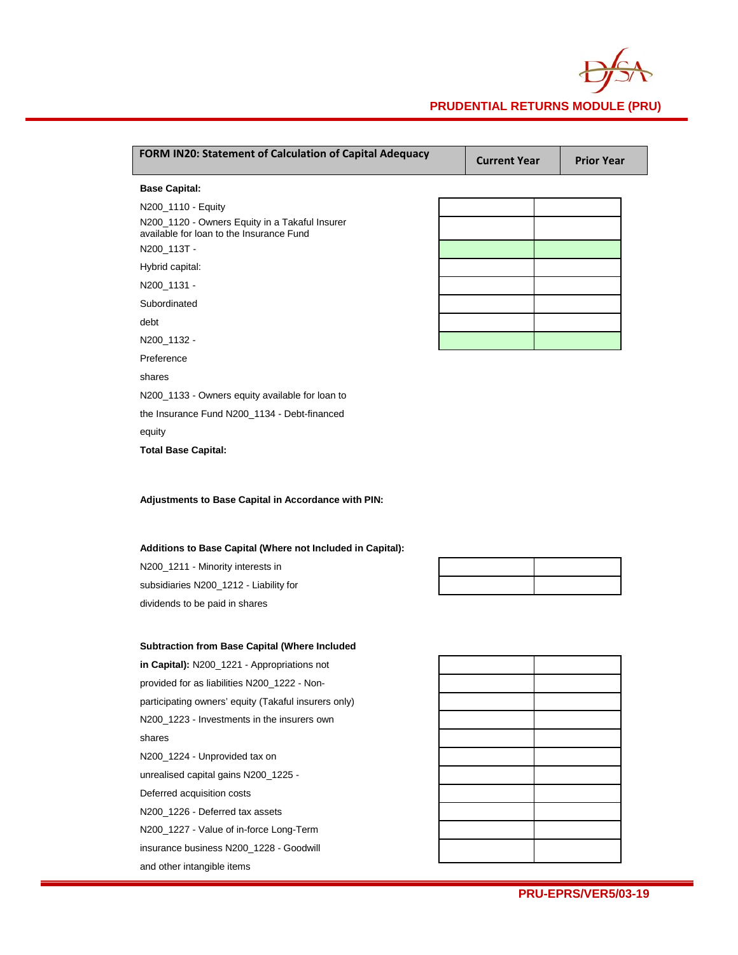

| FORM IN20: Statement of Calculation of Capital Adequacy                                    | <b>Current Year</b> | <b>Prior Year</b> |
|--------------------------------------------------------------------------------------------|---------------------|-------------------|
| <b>Base Capital:</b>                                                                       |                     |                   |
| N200_1110 - Equity                                                                         |                     |                   |
| N200_1120 - Owners Equity in a Takaful Insurer<br>available for loan to the Insurance Fund |                     |                   |
| N200_113T -                                                                                |                     |                   |
| Hybrid capital:                                                                            |                     |                   |
| N200_1131 -                                                                                |                     |                   |
| Subordinated                                                                               |                     |                   |
| debt                                                                                       |                     |                   |
| N200_1132 -                                                                                |                     |                   |
| Preference                                                                                 |                     |                   |
| shares                                                                                     |                     |                   |
| N200_1133 - Owners equity available for loan to                                            |                     |                   |
| the Insurance Fund N200_1134 - Debt-financed                                               |                     |                   |
| equity                                                                                     |                     |                   |
| <b>Total Base Capital:</b>                                                                 |                     |                   |

**Adjustments to Base Capital in Accordance with PIN:**

**Additions to Base Capital (Where not Included in Capital):**

N200\_1211 - Minority interests in subsidiaries N200\_1212 - Liability for dividends to be paid in shares

#### **Subtraction from Base Capital (Where Included**

**in Capital):** N200\_1221 - Appropriations not provided for as liabilities N200\_1222 - Nonparticipating owners' equity (Takaful insurers only) N200\_1223 - Investments in the insurers own shares N200\_1224 - Unprovided tax on unrealised capital gains N200\_1225 - Deferred acquisition costs N200\_1226 - Deferred tax assets N200\_1227 - Value of in-force Long-Term insurance business N200\_1228 - Goodwill and other intangible items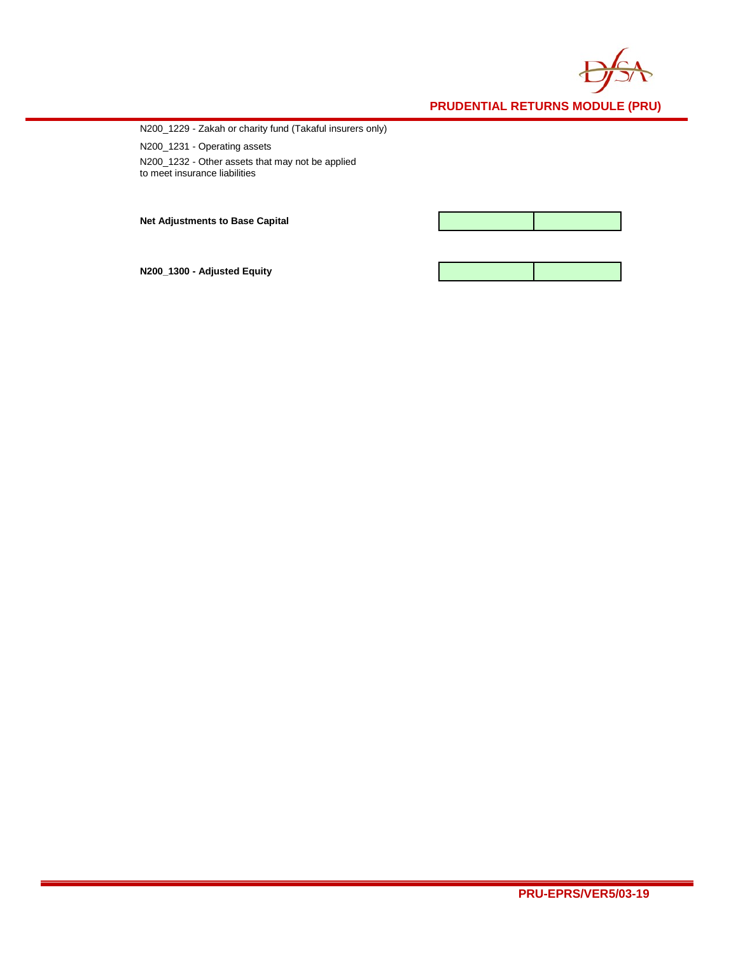

N200\_1229 - Zakah or charity fund (Takaful insurers only)

N200\_1231 - Operating assets N200\_1232 - Other assets that may not be applied to meet insurance liabilities

**Net Adjustments to Base Capital**



**N200\_1300 - Adjusted Equity**

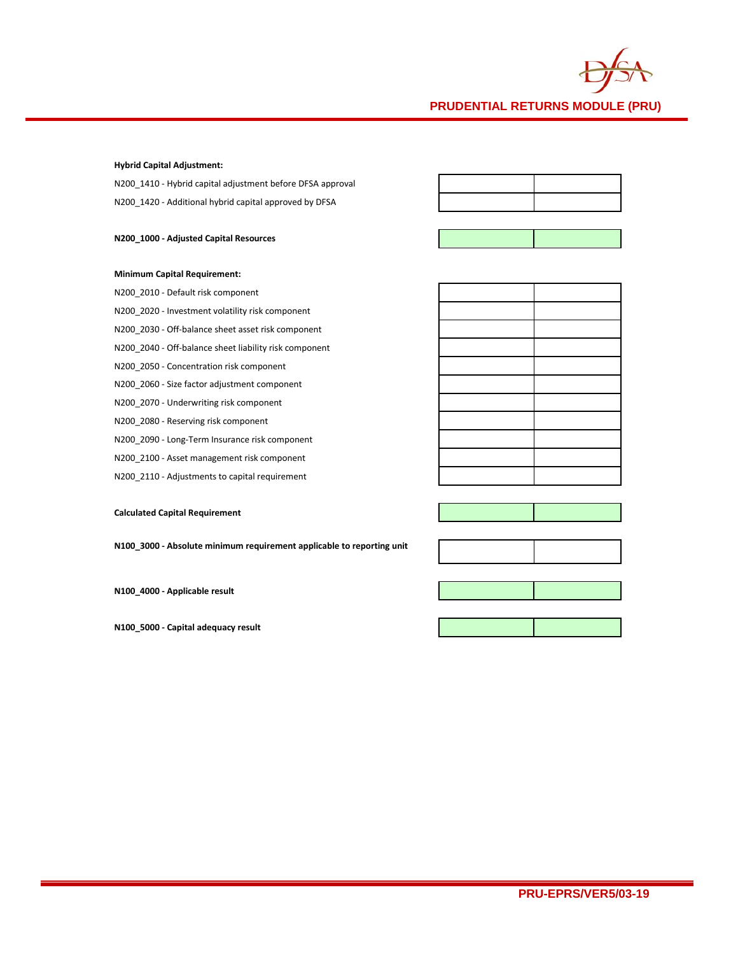

### **Hybrid Capital Adjustment:**

N200\_1410 - Hybrid capital adjustment before DFSA approval N200\_1420 - Additional hybrid capital approved by DFSA

### **N200\_1000 - Adjusted Capital Resources**



### **Minimum Capital Requirement:**

N200\_2010 - Default risk component N200\_2020 - Investment volatility risk component N200\_2030 - Off-balance sheet asset risk component N200\_2040 - Off-balance sheet liability risk component N200\_2050 - Concentration risk component N200\_2060 - Size factor adjustment component N200\_2070 - Underwriting risk component N200\_2080 - Reserving risk component N200\_2090 - Long-Term Insurance risk component N200\_2100 - Asset management risk component

- 
- N200\_2110 Adjustments to capital requirement

### **Calculated Capital Requirement**

**N100\_3000 - Absolute minimum requirement applicable to reporting unit**

**N100\_4000 - Applicable result**

**N100\_5000 - Capital adequacy result**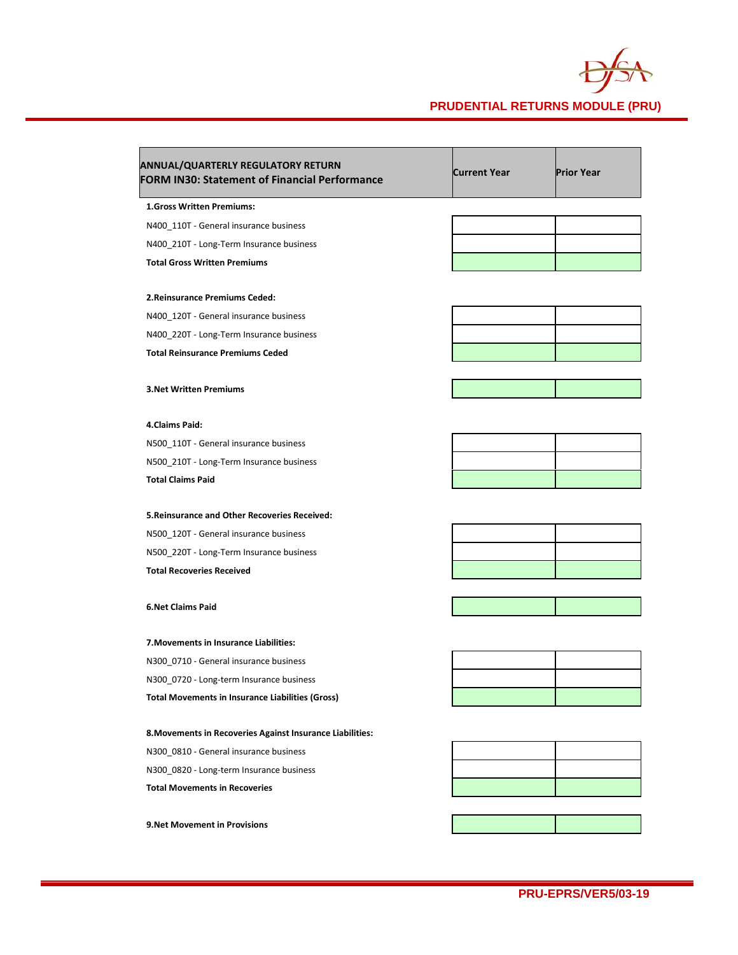

| ANNUAL/QUARTERLY REGULATORY RETURN<br><b>FORM IN30: Statement of Financial Performance</b> | <b>Current Year</b> | <b>Prior Year</b> |
|--------------------------------------------------------------------------------------------|---------------------|-------------------|
| <b>1.Gross Written Premiums:</b>                                                           |                     |                   |
| N400_110T - General insurance business                                                     |                     |                   |
| N400_210T - Long-Term Insurance business                                                   |                     |                   |
| <b>Total Gross Written Premiums</b>                                                        |                     |                   |
| 2. Reinsurance Premiums Ceded:                                                             |                     |                   |
| N400 120T - General insurance business                                                     |                     |                   |
| N400_220T - Long-Term Insurance business                                                   |                     |                   |
| <b>Total Reinsurance Premiums Ceded</b>                                                    |                     |                   |
| <b>3. Net Written Premiums</b>                                                             |                     |                   |
|                                                                                            |                     |                   |
| 4.Claims Paid:                                                                             |                     |                   |
| N500_110T - General insurance business                                                     |                     |                   |
| N500 210T - Long-Term Insurance business                                                   |                     |                   |
| <b>Total Claims Paid</b>                                                                   |                     |                   |
| 5. Reinsurance and Other Recoveries Received:                                              |                     |                   |
| N500_120T - General insurance business                                                     |                     |                   |
| N500_220T - Long-Term Insurance business                                                   |                     |                   |
| <b>Total Recoveries Received</b>                                                           |                     |                   |
| <b>6.Net Claims Paid</b>                                                                   |                     |                   |
| 7. Movements in Insurance Liabilities:                                                     |                     |                   |
| N300_0710 - General insurance business                                                     |                     |                   |
| N300_0720 - Long-term Insurance business                                                   |                     |                   |
| <b>Total Movements in Insurance Liabilities (Gross)</b>                                    |                     |                   |
| 8. Movements in Recoveries Against Insurance Liabilities:                                  |                     |                   |
| N300 0810 - General insurance business                                                     |                     |                   |
| N300_0820 - Long-term Insurance business                                                   |                     |                   |
| <b>Total Movements in Recoveries</b>                                                       |                     |                   |
| <b>9.Net Movement in Provisions</b>                                                        |                     |                   |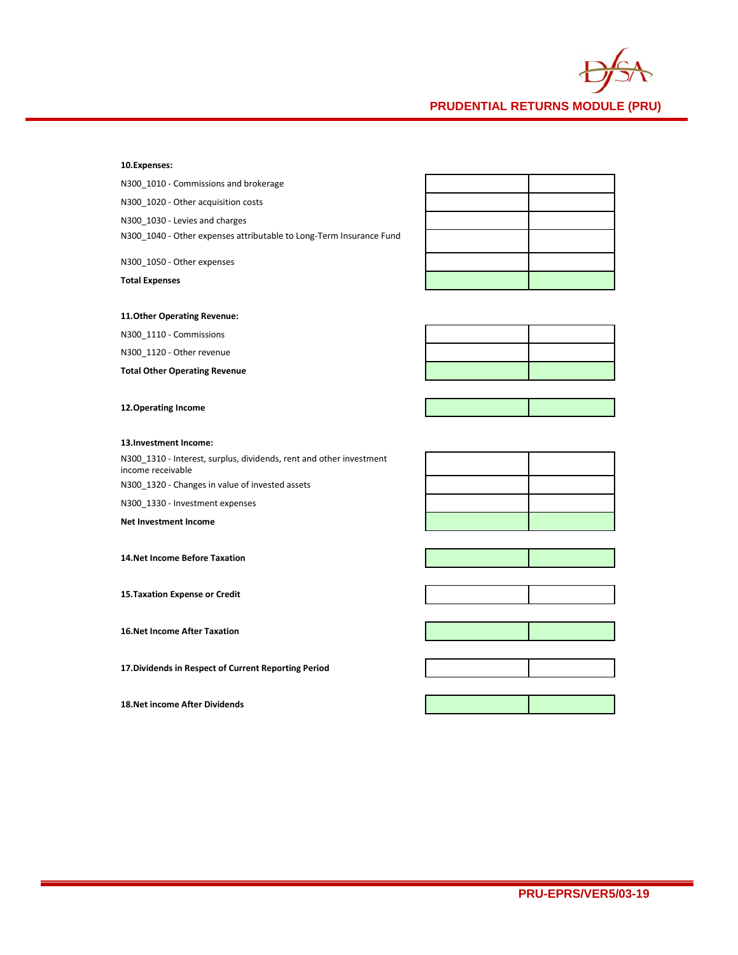

**10.Expenses:**

N300\_1010 - Commissions and brokerage

N300\_1020 - Other acquisition costs

N300\_1030 - Levies and charges

N300\_1040 - Other expenses attributable to Long-Term Insurance Fund

N300\_1050 - Other expenses

**Total Expenses**

### **11.Other Operating Revenue:**

N300\_1110 - Commissions

N300\_1120 - Other revenue

**Total Other Operating Revenue**

### **12.Operating Income**

#### **13.Investment Income:**

N300\_1310 - Interest, surplus, dividends, rent and other investment income receivable

N300\_1320 - Changes in value of invested assets

N300\_1330 - Investment expenses

**Net Investment Income**

**14.Net Income Before Taxation**

**15.Taxation Expense or Credit**

**16.Net Income After Taxation**

**17.Dividends in Respect of Current Reporting Period**

**18.Net income After Dividends**





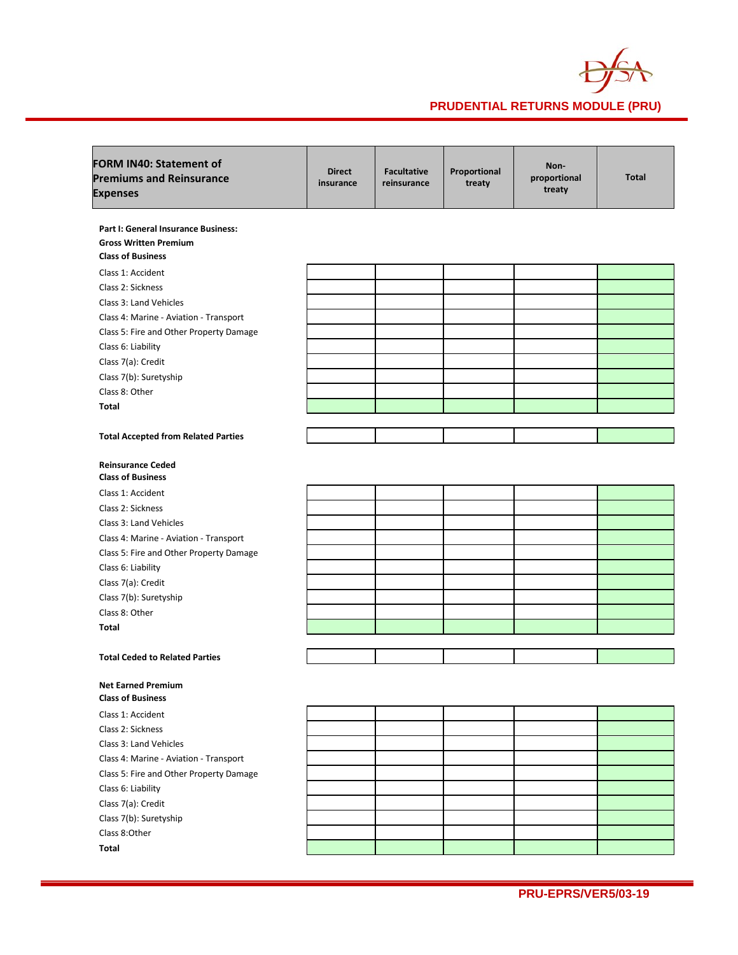

| <b>FORM IN40: Statement of</b><br><b>Premiums and Reinsurance</b><br><b>Expenses</b> | <b>Direct</b><br>insurance | <b>Facultative</b><br>reinsurance | Proportional<br>treaty | Non-<br>proportional<br>treaty | <b>Total</b> |
|--------------------------------------------------------------------------------------|----------------------------|-----------------------------------|------------------------|--------------------------------|--------------|
| Part I: General Insurance Business:                                                  |                            |                                   |                        |                                |              |
| <b>Gross Written Premium</b>                                                         |                            |                                   |                        |                                |              |
| <b>Class of Business</b>                                                             |                            |                                   |                        |                                |              |
| Class 1: Accident                                                                    |                            |                                   |                        |                                |              |
| Class 2: Sickness                                                                    |                            |                                   |                        |                                |              |
| Class 3: Land Vehicles                                                               |                            |                                   |                        |                                |              |
| Class 4: Marine - Aviation - Transport                                               |                            |                                   |                        |                                |              |
| Class 5: Fire and Other Property Damage                                              |                            |                                   |                        |                                |              |
| Class 6: Liability                                                                   |                            |                                   |                        |                                |              |
| Class 7(a): Credit                                                                   |                            |                                   |                        |                                |              |
| Class 7(b): Suretyship                                                               |                            |                                   |                        |                                |              |
| Class 8: Other                                                                       |                            |                                   |                        |                                |              |
| Total                                                                                |                            |                                   |                        |                                |              |
|                                                                                      |                            |                                   |                        |                                |              |
| <b>Total Accepted from Related Parties</b>                                           |                            |                                   |                        |                                |              |
| <b>Reinsurance Ceded</b><br><b>Class of Business</b>                                 |                            |                                   |                        |                                |              |
| Class 1: Accident                                                                    |                            |                                   |                        |                                |              |
| Class 2: Sickness                                                                    |                            |                                   |                        |                                |              |
| Class 3: Land Vehicles                                                               |                            |                                   |                        |                                |              |
| Class 4: Marine - Aviation - Transport                                               |                            |                                   |                        |                                |              |
| Class 5: Fire and Other Property Damage                                              |                            |                                   |                        |                                |              |
| Class 6: Liability                                                                   |                            |                                   |                        |                                |              |
| Class 7(a): Credit                                                                   |                            |                                   |                        |                                |              |
| Class 7(b): Suretyship                                                               |                            |                                   |                        |                                |              |
| Class 8: Other                                                                       |                            |                                   |                        |                                |              |
| Total                                                                                |                            |                                   |                        |                                |              |
|                                                                                      |                            |                                   |                        |                                |              |
| <b>Total Ceded to Related Parties</b>                                                |                            |                                   |                        |                                |              |
| <b>Net Earned Premium</b><br><b>Class of Business</b>                                |                            |                                   |                        |                                |              |
| Class 1: Accident                                                                    |                            |                                   |                        |                                |              |
| Class 2: Sickness                                                                    |                            |                                   |                        |                                |              |
| Class 3: Land Vehicles                                                               |                            |                                   |                        |                                |              |
| Class 4: Marine - Aviation - Transport                                               |                            |                                   |                        |                                |              |
| Class 5: Fire and Other Property Damage                                              |                            |                                   |                        |                                |              |
| Class 6: Liability                                                                   |                            |                                   |                        |                                |              |
| Class 7(a): Credit                                                                   |                            |                                   |                        |                                |              |
| Class 7(b): Suretyship                                                               |                            |                                   |                        |                                |              |
| Class 8:Other                                                                        |                            |                                   |                        |                                |              |
| Total                                                                                |                            |                                   |                        |                                |              |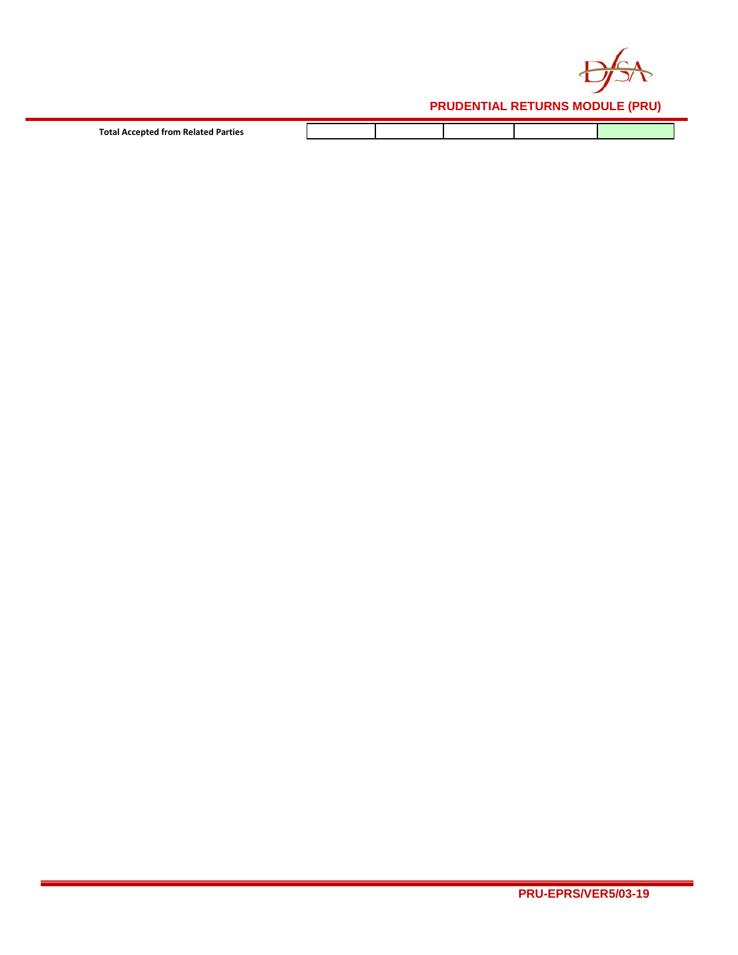

| Total Accepted from Related Parties |  |  |  |
|-------------------------------------|--|--|--|
| .                                   |  |  |  |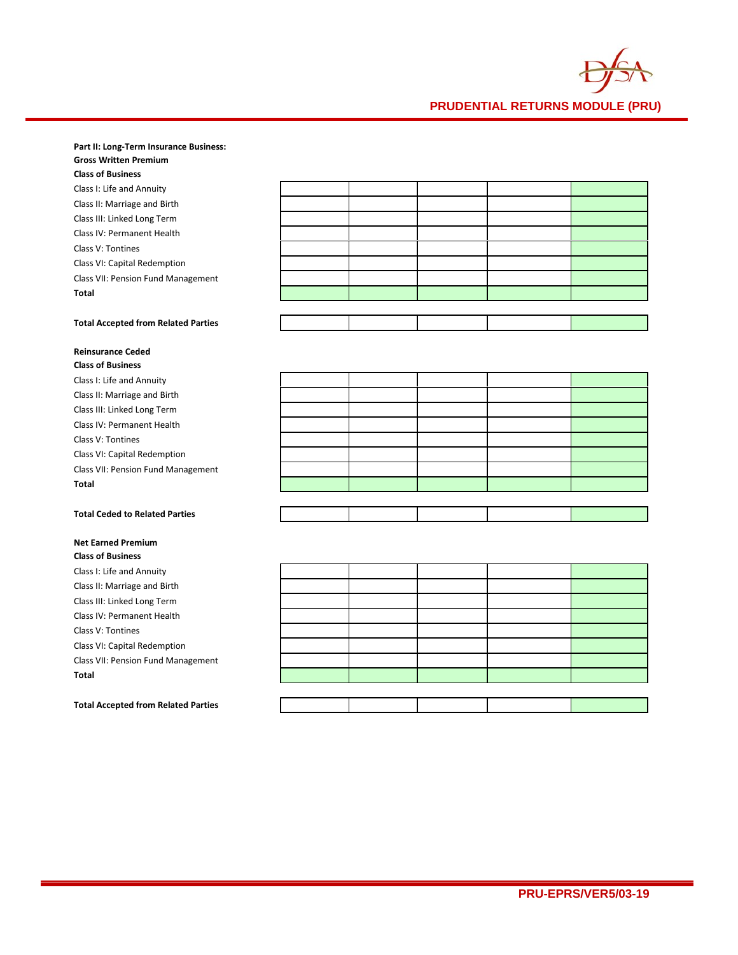

#### **Part II: Long-Term Insurance Business: Gross Written Premium**

| uluss Willich Fichhum                      |  |  |  |
|--------------------------------------------|--|--|--|
| <b>Class of Business</b>                   |  |  |  |
| Class I: Life and Annuity                  |  |  |  |
| Class II: Marriage and Birth               |  |  |  |
| Class III: Linked Long Term                |  |  |  |
| Class IV: Permanent Health                 |  |  |  |
| Class V: Tontines                          |  |  |  |
| Class VI: Capital Redemption               |  |  |  |
| Class VII: Pension Fund Management         |  |  |  |
| Total                                      |  |  |  |
|                                            |  |  |  |
| <b>Total Accepted from Related Parties</b> |  |  |  |
|                                            |  |  |  |

### **Reinsurance Ceded Class of Busi**

| Class Of Business                     |  |  |  |
|---------------------------------------|--|--|--|
| Class I: Life and Annuity             |  |  |  |
| Class II: Marriage and Birth          |  |  |  |
| Class III: Linked Long Term           |  |  |  |
| Class IV: Permanent Health            |  |  |  |
| Class V: Tontines                     |  |  |  |
| Class VI: Capital Redemption          |  |  |  |
| Class VII: Pension Fund Management    |  |  |  |
| <b>Total</b>                          |  |  |  |
|                                       |  |  |  |
| <b>Total Ceded to Related Parties</b> |  |  |  |

# **Net Earned Premium**

**Class of Business** Class I: Life and Annuity Class II: Marriage and Birth Class III: Linked Long Term Class IV: Permanent Health Class V: Tontines Class VI: Capital Redemption Class VII: Pension Fund Management **Total**

## **Total Accepted from Related Parties**

|                         | $\mathbf{I}$ |  |  |
|-------------------------|--------------|--|--|
|                         |              |  |  |
| <u>an an Dùbhlach a</u> |              |  |  |
|                         |              |  |  |
|                         |              |  |  |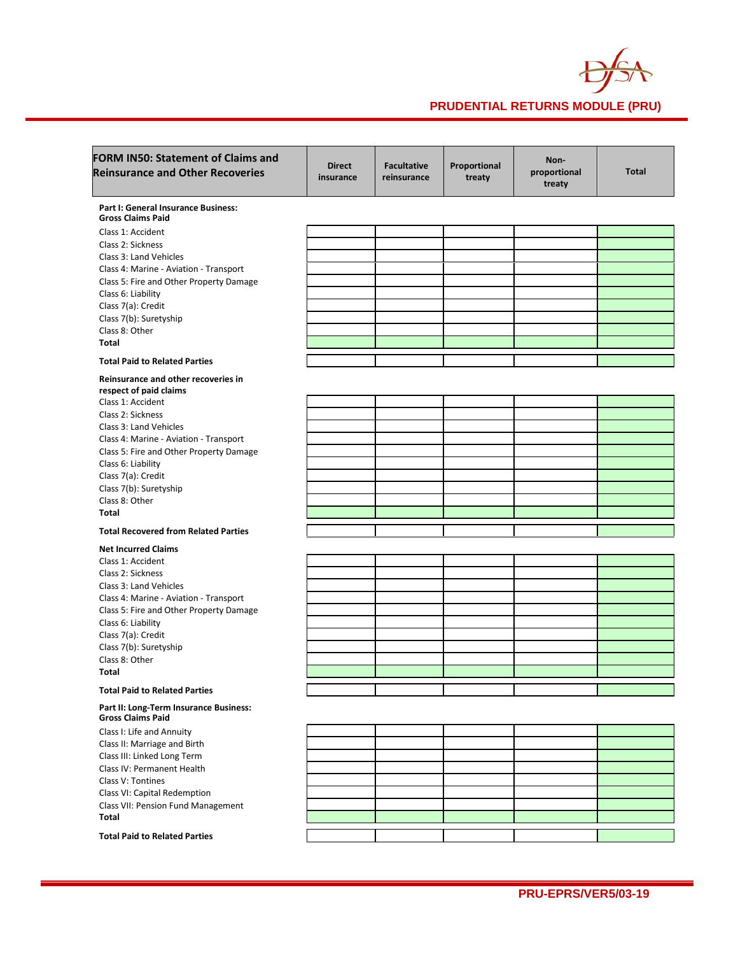

| <b>FORM IN50: Statement of Claims and</b><br><b>Reinsurance and Other Recoveries</b> | <b>Direct</b><br>insurance | <b>Facultative</b><br>reinsurance | Proportional<br>treaty | Non-<br>proportional<br>treaty | <b>Total</b> |
|--------------------------------------------------------------------------------------|----------------------------|-----------------------------------|------------------------|--------------------------------|--------------|
| Part I: General Insurance Business:<br><b>Gross Claims Paid</b>                      |                            |                                   |                        |                                |              |
| Class 1: Accident                                                                    |                            |                                   |                        |                                |              |
| Class 2: Sickness                                                                    |                            |                                   |                        |                                |              |
| Class 3: Land Vehicles                                                               |                            |                                   |                        |                                |              |
| Class 4: Marine - Aviation - Transport                                               |                            |                                   |                        |                                |              |
| Class 5: Fire and Other Property Damage                                              |                            |                                   |                        |                                |              |
| Class 6: Liability                                                                   |                            |                                   |                        |                                |              |
| Class 7(a): Credit                                                                   |                            |                                   |                        |                                |              |
| Class 7(b): Suretyship                                                               |                            |                                   |                        |                                |              |
| Class 8: Other                                                                       |                            |                                   |                        |                                |              |
| <b>Total</b>                                                                         |                            |                                   |                        |                                |              |
| <b>Total Paid to Related Parties</b>                                                 |                            |                                   |                        |                                |              |
| Reinsurance and other recoveries in<br>respect of paid claims                        |                            |                                   |                        |                                |              |
| Class 1: Accident                                                                    |                            |                                   |                        |                                |              |
| Class 2: Sickness                                                                    |                            |                                   |                        |                                |              |
| Class 3: Land Vehicles                                                               |                            |                                   |                        |                                |              |
| Class 4: Marine - Aviation - Transport                                               |                            |                                   |                        |                                |              |
| Class 5: Fire and Other Property Damage                                              |                            |                                   |                        |                                |              |
| Class 6: Liability                                                                   |                            |                                   |                        |                                |              |
| Class 7(a): Credit                                                                   |                            |                                   |                        |                                |              |
| Class 7(b): Suretyship                                                               |                            |                                   |                        |                                |              |
| Class 8: Other                                                                       |                            |                                   |                        |                                |              |
| <b>Total</b>                                                                         |                            |                                   |                        |                                |              |
| <b>Total Recovered from Related Parties</b>                                          |                            |                                   |                        |                                |              |
| <b>Net Incurred Claims</b>                                                           |                            |                                   |                        |                                |              |
| Class 1: Accident                                                                    |                            |                                   |                        |                                |              |
| Class 2: Sickness                                                                    |                            |                                   |                        |                                |              |
| Class 3: Land Vehicles                                                               |                            |                                   |                        |                                |              |
| Class 4: Marine - Aviation - Transport                                               |                            |                                   |                        |                                |              |
| Class 5: Fire and Other Property Damage                                              |                            |                                   |                        |                                |              |
| Class 6: Liability                                                                   |                            |                                   |                        |                                |              |
| Class 7(a): Credit                                                                   |                            |                                   |                        |                                |              |
| Class 7(b): Suretyship                                                               |                            |                                   |                        |                                |              |
| Class 8: Other                                                                       |                            |                                   |                        |                                |              |
| <b>Total</b>                                                                         |                            |                                   |                        |                                |              |
| <b>Total Paid to Related Parties</b>                                                 |                            |                                   |                        |                                |              |
| Part II: Long-Term Insurance Business:<br><b>Gross Claims Paid</b>                   |                            |                                   |                        |                                |              |
| Class I: Life and Annuity                                                            |                            |                                   |                        |                                |              |
| Class II: Marriage and Birth                                                         |                            |                                   |                        |                                |              |
| Class III: Linked Long Term                                                          |                            |                                   |                        |                                |              |
| Class IV: Permanent Health                                                           |                            |                                   |                        |                                |              |
| Class V: Tontines                                                                    |                            |                                   |                        |                                |              |
| Class VI: Capital Redemption                                                         |                            |                                   |                        |                                |              |
| Class VII: Pension Fund Management                                                   |                            |                                   |                        |                                |              |
| Total                                                                                |                            |                                   |                        |                                |              |
| <b>Total Paid to Related Parties</b>                                                 |                            |                                   |                        |                                |              |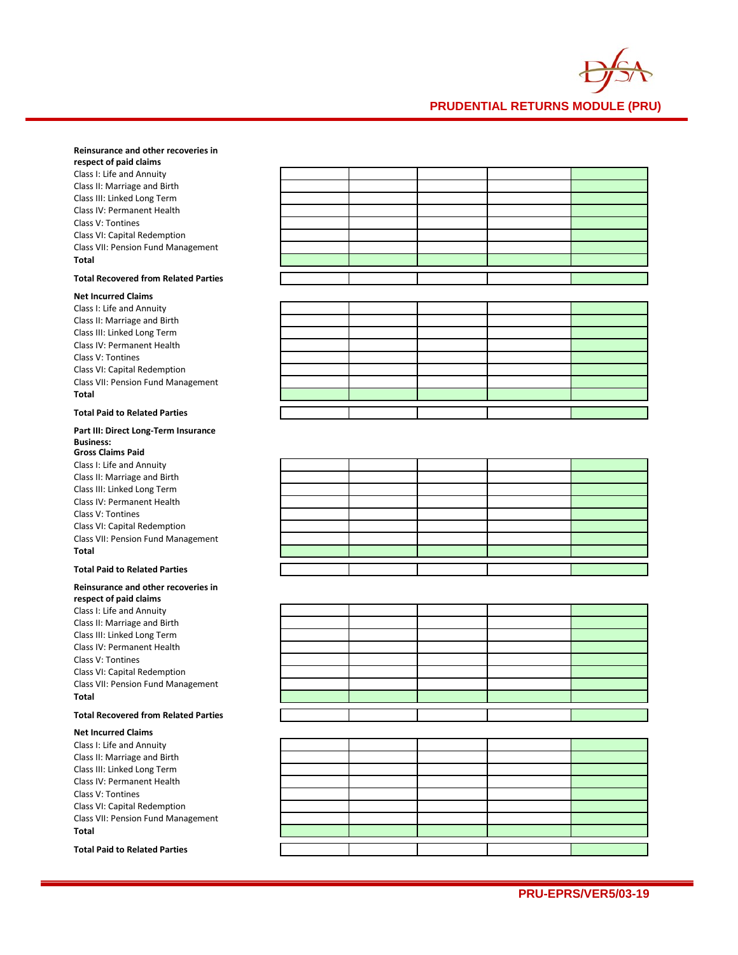

### **Reinsurance and other recoveries in**

**respect of paid claims** Class I: Life and Annuity Class II: Marriage and Birth Class III: Linked Long Term Class IV: Permanent Health Class V: Tontines Class VI: Capital Redemption Class VII: Pension Fund Management **Total**

### **Total Recovered from Related Parties**

### **Net Incurred Claims**

Class I: Life and Annuity Class II: Marriage and Birth Class III: Linked Long Term Class IV: Permanent Health Class V: Tontines Class VI: Capital Redemption Class VII: Pension Fund Management **Total**

#### **Total Paid to Related Parties**

#### **Part III: Direct Long-Term Insurance Business: Gross Claims Paid**

Class I: Life and Annuity Class II: Marriage and Birth Class III: Linked Long Term Class IV: Permanent Health Class V: Tontines Class VI: Capital Redemption Class VII: Pension Fund Management **Total**

#### **Total Paid to Related Parties**

#### **Reinsurance and other recoveries in respect of paid claims** Class I: Life and Annuity Class II: Marriage and Birth

Class III: Linked Long Term Class IV: Permanent Health Class V: Tontines Class VI: Capital Redemption Class VII: Pension Fund Management **Total**

#### **Total Recovered from Related Parties**

### **Net Incurred Claims**

Class I: Life and Annuity Class II: Marriage and Birth Class III: Linked Long Term Class IV: Permanent Health Class V: Tontines Class VI: Capital Redemption Class VII: Pension Fund Management **Total**

#### **Total Paid to Related Parties**

| the contract of the contract of |                                                                                                                        |                                                                                                                       |  |
|---------------------------------|------------------------------------------------------------------------------------------------------------------------|-----------------------------------------------------------------------------------------------------------------------|--|
|                                 |                                                                                                                        | <u> La Carlo de la Carlo de la Carlo de la Carlo de la Carlo de la Carlo de la Carlo de la Carlo de la Carlo de l</u> |  |
|                                 | <u> 1989 - Johann John Stone, mars et al. 1989 - Anna ann an t-Anna ann an t-Anna ann an t-Anna ann an t-Anna ann </u> |                                                                                                                       |  |
|                                 |                                                                                                                        | <u> 1989 - Johann Stoff, Amerikaansk politiker († 1908)</u>                                                           |  |
|                                 |                                                                                                                        |                                                                                                                       |  |
|                                 |                                                                                                                        |                                                                                                                       |  |
|                                 |                                                                                                                        |                                                                                                                       |  |
|                                 |                                                                                                                        |                                                                                                                       |  |

|  | <u> La componenta de la componenta de la componenta de la componenta de la componenta de la componenta de la compo</u>  |                                                             |
|--|-------------------------------------------------------------------------------------------------------------------------|-------------------------------------------------------------|
|  |                                                                                                                         | the control of the control of the control of the control of |
|  |                                                                                                                         |                                                             |
|  | <u> 1989 - Andrea Andrew Maria Andrew Maria Andrew Maria Andrew Maria Andrew Maria Andrew Maria Andrew Maria Andr</u>   |                                                             |
|  |                                                                                                                         |                                                             |
|  | <u> 1989 - Johann Barn, amerikan bestemannten bestemannten av den stadt som bestemannten bestemannten bestemannten </u> | <u> a shekara t</u>                                         |
|  |                                                                                                                         |                                                             |
|  |                                                                                                                         |                                                             |

|  | <u>in the contract of the contract of the contract of the contract of the contract of the contract of the contract of the contract of the contract of the contract of the contract of the contract of the contract of the contra</u> |  |
|--|--------------------------------------------------------------------------------------------------------------------------------------------------------------------------------------------------------------------------------------|--|

|                                   |  | ,我们也不会不会不会。""我们的,我们也不会不会不会。""我们的,我们也不会不会不会不会。""我们的,我们也不会不会不会不会。""我们的,我们也不会不会不会不会                                       |  |
|-----------------------------------|--|------------------------------------------------------------------------------------------------------------------------|--|
|                                   |  | <u> La componenta de la componenta de la componenta de la componenta de la componenta de la componenta de la compo</u> |  |
|                                   |  |                                                                                                                        |  |
|                                   |  |                                                                                                                        |  |
|                                   |  |                                                                                                                        |  |
|                                   |  |                                                                                                                        |  |
|                                   |  |                                                                                                                        |  |
|                                   |  |                                                                                                                        |  |
| <b>Contract Contract Contract</b> |  |                                                                                                                        |  |
|                                   |  |                                                                                                                        |  |
|                                   |  |                                                                                                                        |  |

|  | <u> 1989 - Andrea Andrews, Amerikaansk politik (* 1958)</u> |                                   |
|--|-------------------------------------------------------------|-----------------------------------|
|  |                                                             | and the control of the control of |
|  |                                                             |                                   |
|  |                                                             |                                   |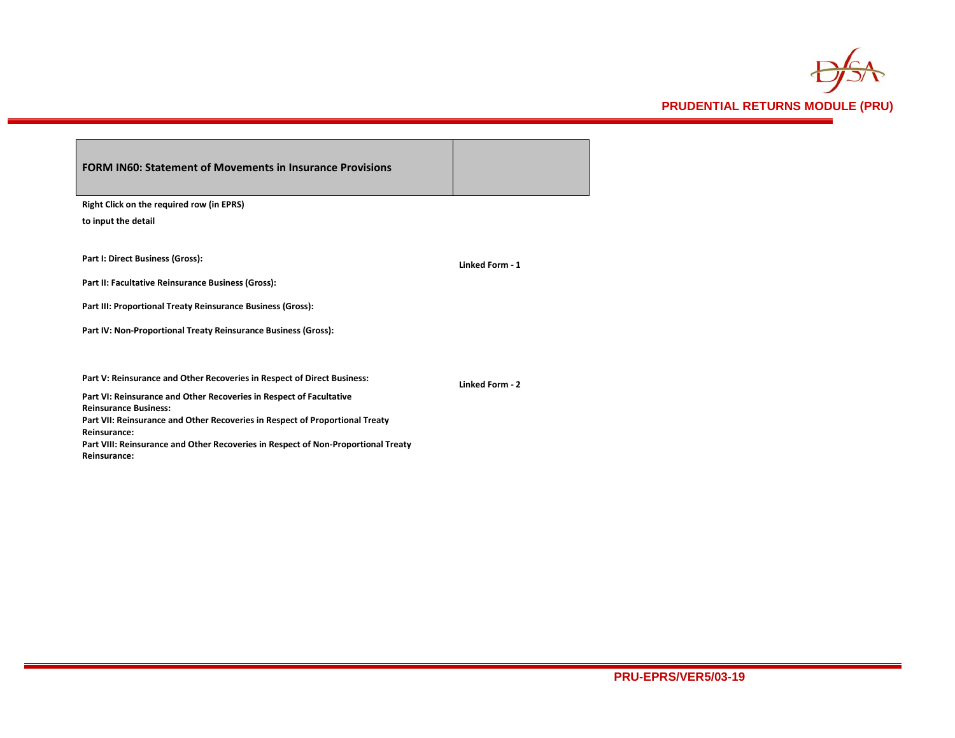

| <b>FORM IN60: Statement of Movements in Insurance Provisions</b>                                    |                 |
|-----------------------------------------------------------------------------------------------------|-----------------|
| <b>Right Click on the required row (in EPRS)</b>                                                    |                 |
| to input the detail                                                                                 |                 |
| Part I: Direct Business (Gross):                                                                    | Linked Form - 1 |
| Part II: Facultative Reinsurance Business (Gross):                                                  |                 |
| Part III: Proportional Treaty Reinsurance Business (Gross):                                         |                 |
| Part IV: Non-Proportional Treaty Reinsurance Business (Gross):                                      |                 |
| Part V: Reinsurance and Other Recoveries in Respect of Direct Business:                             | Linked Form - 2 |
| Part VI: Reinsurance and Other Recoveries in Respect of Facultative<br><b>Reinsurance Business:</b> |                 |
| Part VII: Reinsurance and Other Recoveries in Respect of Proportional Treaty<br>Reinsurance:        |                 |
| Part VIII: Reinsurance and Other Recoveries in Respect of Non-Proportional Treaty<br>Reinsurance:   |                 |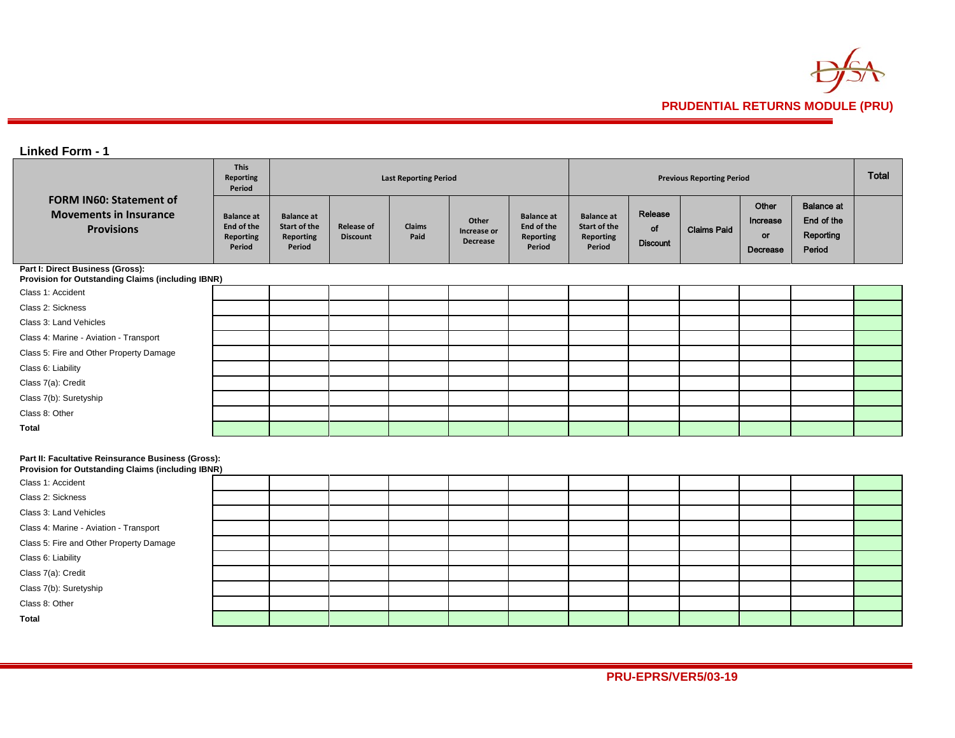

# **Linked Form - 1**

|                                                                                                         | <b>This</b><br><b>Reporting</b><br>Period              | <b>Last Reporting Period</b>                                    |                                      |                |                                         |                                                               |                                                                        | <b>Previous Reporting Period</b> |                    |                                     |                                                        |  |
|---------------------------------------------------------------------------------------------------------|--------------------------------------------------------|-----------------------------------------------------------------|--------------------------------------|----------------|-----------------------------------------|---------------------------------------------------------------|------------------------------------------------------------------------|----------------------------------|--------------------|-------------------------------------|--------------------------------------------------------|--|
| <b>FORM IN60: Statement of</b><br><b>Movements in Insurance</b><br><b>Provisions</b>                    | <b>Balance</b> at<br>End of the<br>Reporting<br>Period | <b>Balance</b> at<br>Start of the<br><b>Reporting</b><br>Period | <b>Release of</b><br><b>Discount</b> | Claims<br>Paid | Other<br>Increase or<br><b>Decrease</b> | <b>Balance</b> at<br>End of the<br><b>Reporting</b><br>Period | <b>Balance</b> at<br><b>Start of the</b><br><b>Reporting</b><br>Period | Release<br>of<br><b>Discount</b> | <b>Claims Paid</b> | Other<br>Increase<br>or<br>Decrease | <b>Balance at</b><br>End of the<br>Reporting<br>Period |  |
| Part I: Direct Business (Gross):<br>Provision for Outstanding Claims (including IBNR)                   |                                                        |                                                                 |                                      |                |                                         |                                                               |                                                                        |                                  |                    |                                     |                                                        |  |
| Class 1: Accident                                                                                       |                                                        |                                                                 |                                      |                |                                         |                                                               |                                                                        |                                  |                    |                                     |                                                        |  |
| Class 2: Sickness                                                                                       |                                                        |                                                                 |                                      |                |                                         |                                                               |                                                                        |                                  |                    |                                     |                                                        |  |
| Class 3: Land Vehicles                                                                                  |                                                        |                                                                 |                                      |                |                                         |                                                               |                                                                        |                                  |                    |                                     |                                                        |  |
| Class 4: Marine - Aviation - Transport                                                                  |                                                        |                                                                 |                                      |                |                                         |                                                               |                                                                        |                                  |                    |                                     |                                                        |  |
| Class 5: Fire and Other Property Damage                                                                 |                                                        |                                                                 |                                      |                |                                         |                                                               |                                                                        |                                  |                    |                                     |                                                        |  |
| Class 6: Liability                                                                                      |                                                        |                                                                 |                                      |                |                                         |                                                               |                                                                        |                                  |                    |                                     |                                                        |  |
| Class 7(a): Credit                                                                                      |                                                        |                                                                 |                                      |                |                                         |                                                               |                                                                        |                                  |                    |                                     |                                                        |  |
| Class 7(b): Suretyship                                                                                  |                                                        |                                                                 |                                      |                |                                         |                                                               |                                                                        |                                  |                    |                                     |                                                        |  |
| Class 8: Other                                                                                          |                                                        |                                                                 |                                      |                |                                         |                                                               |                                                                        |                                  |                    |                                     |                                                        |  |
| <b>Total</b>                                                                                            |                                                        |                                                                 |                                      |                |                                         |                                                               |                                                                        |                                  |                    |                                     |                                                        |  |
| Part II: Facultative Reinsurance Business (Gross):<br>Provision for Outstanding Claims (including IBNR) |                                                        |                                                                 |                                      |                |                                         |                                                               |                                                                        |                                  |                    |                                     |                                                        |  |
| Class 1: Accident                                                                                       |                                                        |                                                                 |                                      |                |                                         |                                                               |                                                                        |                                  |                    |                                     |                                                        |  |
| Class 2: Sickness                                                                                       |                                                        |                                                                 |                                      |                |                                         |                                                               |                                                                        |                                  |                    |                                     |                                                        |  |
| Class 3: Land Vehicles                                                                                  |                                                        |                                                                 |                                      |                |                                         |                                                               |                                                                        |                                  |                    |                                     |                                                        |  |
| Class 4: Marine - Aviation - Transport                                                                  |                                                        |                                                                 |                                      |                |                                         |                                                               |                                                                        |                                  |                    |                                     |                                                        |  |
| Class 5: Fire and Other Property Damage                                                                 |                                                        |                                                                 |                                      |                |                                         |                                                               |                                                                        |                                  |                    |                                     |                                                        |  |
| Class 6: Liability                                                                                      |                                                        |                                                                 |                                      |                |                                         |                                                               |                                                                        |                                  |                    |                                     |                                                        |  |
| $-1$ $-1$ $-1$ $-1$                                                                                     |                                                        |                                                                 |                                      |                |                                         |                                                               |                                                                        |                                  |                    |                                     |                                                        |  |

Class 7(a): Credit

Class 7(b): Suretyship

Class 8: Other

**Total**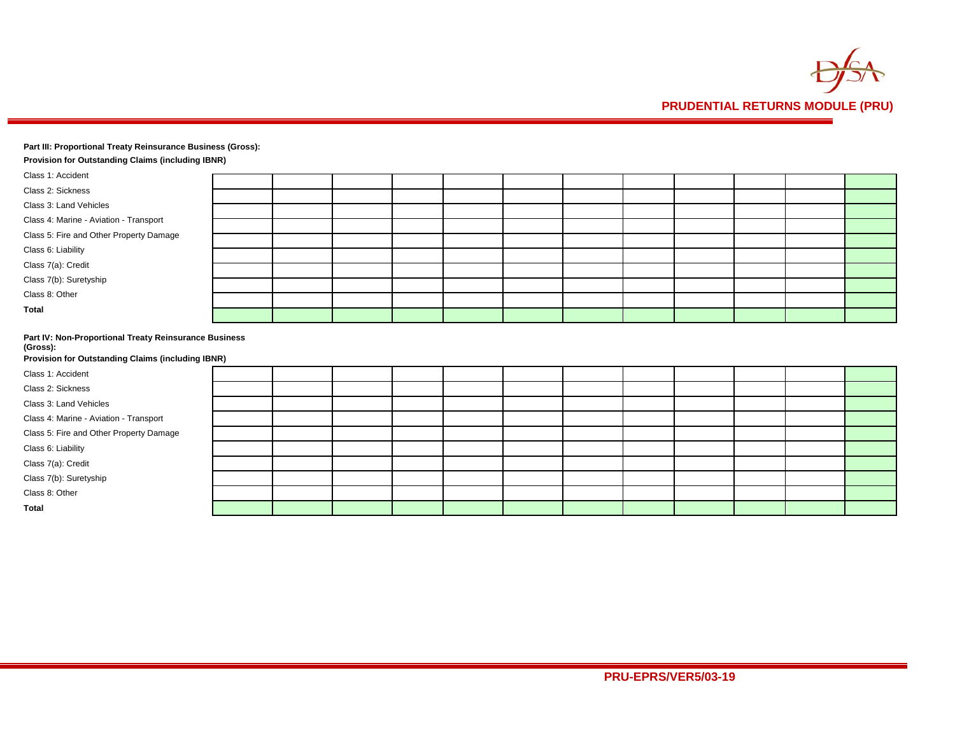

### **Part III: Proportional Treaty Reinsurance Business (Gross):**

| <b>Provision for Outstanding Claims (including IBNR)</b>                                                               |  |  |  |  |  |  |
|------------------------------------------------------------------------------------------------------------------------|--|--|--|--|--|--|
| Class 1: Accident                                                                                                      |  |  |  |  |  |  |
| Class 2: Sickness                                                                                                      |  |  |  |  |  |  |
| Class 3: Land Vehicles                                                                                                 |  |  |  |  |  |  |
| Class 4: Marine - Aviation - Transport                                                                                 |  |  |  |  |  |  |
| Class 5: Fire and Other Property Damage                                                                                |  |  |  |  |  |  |
| Class 6: Liability                                                                                                     |  |  |  |  |  |  |
| Class 7(a): Credit                                                                                                     |  |  |  |  |  |  |
| Class 7(b): Suretyship                                                                                                 |  |  |  |  |  |  |
| Class 8: Other                                                                                                         |  |  |  |  |  |  |
| <b>Total</b>                                                                                                           |  |  |  |  |  |  |
|                                                                                                                        |  |  |  |  |  |  |
| Part IV: Non-Proportional Treaty Reinsurance Business<br>(Gross):<br>Provision for Outstanding Claims (including IBNR) |  |  |  |  |  |  |
| Class 1: Accident                                                                                                      |  |  |  |  |  |  |
|                                                                                                                        |  |  |  |  |  |  |

| Class 2: Sickness<br>Class 3: Land Vehicles |  |
|---------------------------------------------|--|
| Class 4: Marine - Aviation - Transport      |  |
|                                             |  |
|                                             |  |
| Class 5: Fire and Other Property Damage     |  |
| Class 6: Liability                          |  |
| Class 7(a): Credit                          |  |
| Class 7(b): Suretyship                      |  |
| Class 8: Other                              |  |
| <b>Total</b>                                |  |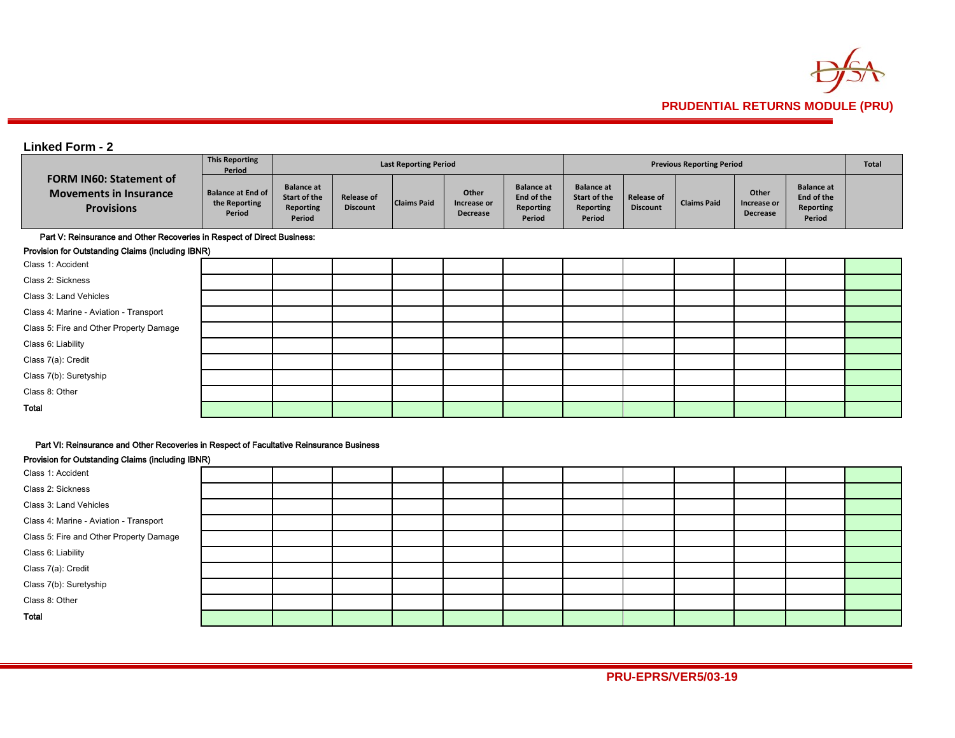

# **Linked Form - 2**

|                                                                                      | <b>This Reporting</b><br>Period                     |                                                                 |                                      | <b>Last Reporting Period</b> |                                         |                                                               |                                                          |                                      | <b>Previous Reporting Period</b> |                                         |                                                               | Total |
|--------------------------------------------------------------------------------------|-----------------------------------------------------|-----------------------------------------------------------------|--------------------------------------|------------------------------|-----------------------------------------|---------------------------------------------------------------|----------------------------------------------------------|--------------------------------------|----------------------------------|-----------------------------------------|---------------------------------------------------------------|-------|
| <b>FORM IN60: Statement of</b><br><b>Movements in Insurance</b><br><b>Provisions</b> | <b>Balance at End of</b><br>the Reporting<br>Period | <b>Balance at</b><br>Start of the<br><b>Reporting</b><br>Period | <b>Release of</b><br><b>Discount</b> | <b>Claims Paid</b>           | Other<br>Increase or<br><b>Decrease</b> | <b>Balance at</b><br>End of the<br><b>Reporting</b><br>Period | <b>Balance at</b><br>Start of the<br>Reporting<br>Period | <b>Release of</b><br><b>Discount</b> | <b>Claims Paid</b>               | Other<br>Increase or<br><b>Decrease</b> | <b>Balance at</b><br>End of the<br><b>Reporting</b><br>Period |       |
| Part V: Reinsurance and Other Recoveries in Respect of Direct Business:              |                                                     |                                                                 |                                      |                              |                                         |                                                               |                                                          |                                      |                                  |                                         |                                                               |       |
| Provision for Outstanding Claims (including IBNR)                                    |                                                     |                                                                 |                                      |                              |                                         |                                                               |                                                          |                                      |                                  |                                         |                                                               |       |
| Class 1: Accident                                                                    |                                                     |                                                                 |                                      |                              |                                         |                                                               |                                                          |                                      |                                  |                                         |                                                               |       |
| Class 2: Sickness                                                                    |                                                     |                                                                 |                                      |                              |                                         |                                                               |                                                          |                                      |                                  |                                         |                                                               |       |
| Class 3: Land Vehicles                                                               |                                                     |                                                                 |                                      |                              |                                         |                                                               |                                                          |                                      |                                  |                                         |                                                               |       |
| Class 4: Marine - Aviation - Transport                                               |                                                     |                                                                 |                                      |                              |                                         |                                                               |                                                          |                                      |                                  |                                         |                                                               |       |
| Class 5: Fire and Other Property Damage                                              |                                                     |                                                                 |                                      |                              |                                         |                                                               |                                                          |                                      |                                  |                                         |                                                               |       |
| Class 6: Liability                                                                   |                                                     |                                                                 |                                      |                              |                                         |                                                               |                                                          |                                      |                                  |                                         |                                                               |       |
| Class 7(a): Credit                                                                   |                                                     |                                                                 |                                      |                              |                                         |                                                               |                                                          |                                      |                                  |                                         |                                                               |       |
| Class 7(b): Suretyship                                                               |                                                     |                                                                 |                                      |                              |                                         |                                                               |                                                          |                                      |                                  |                                         |                                                               |       |
| Class 8: Other                                                                       |                                                     |                                                                 |                                      |                              |                                         |                                                               |                                                          |                                      |                                  |                                         |                                                               |       |
| Total                                                                                |                                                     |                                                                 |                                      |                              |                                         |                                                               |                                                          |                                      |                                  |                                         |                                                               |       |

### Part VI: Reinsurance and Other Recoveries in Respect of Facultative Reinsurance Business

#### Provision for Outstanding Claims (including IBNR)

| Class 1: Accident                       |  |  |  |  |  |  |
|-----------------------------------------|--|--|--|--|--|--|
| Class 2: Sickness                       |  |  |  |  |  |  |
| Class 3: Land Vehicles                  |  |  |  |  |  |  |
| Class 4: Marine - Aviation - Transport  |  |  |  |  |  |  |
| Class 5: Fire and Other Property Damage |  |  |  |  |  |  |
| Class 6: Liability                      |  |  |  |  |  |  |
| Class 7(a): Credit                      |  |  |  |  |  |  |
| Class 7(b): Suretyship                  |  |  |  |  |  |  |
| Class 8: Other                          |  |  |  |  |  |  |
| Total                                   |  |  |  |  |  |  |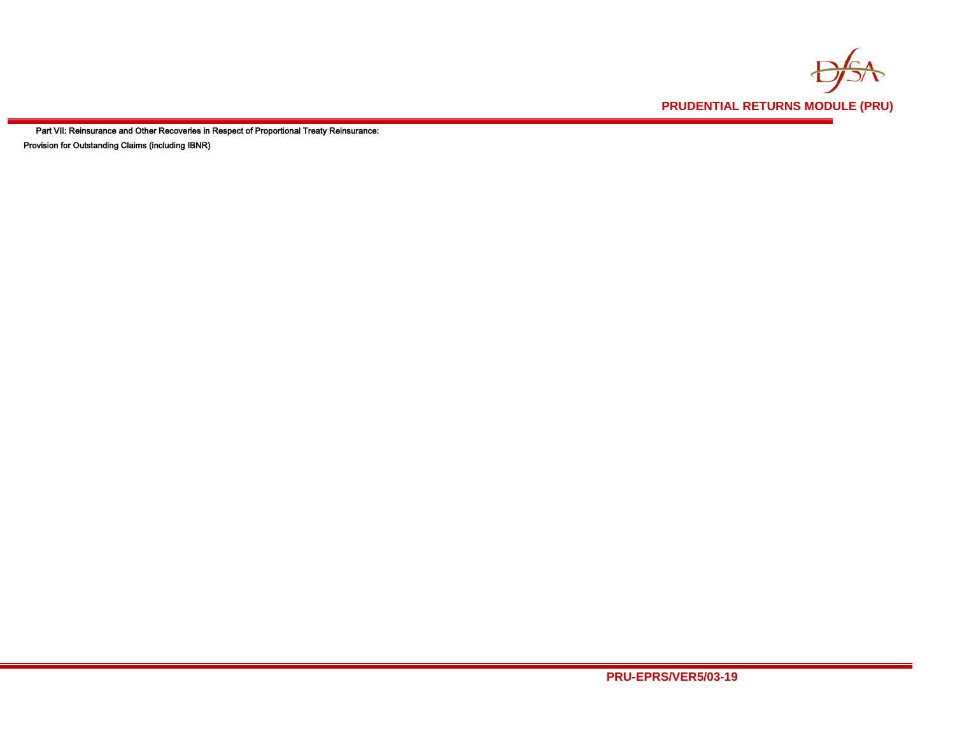

Part VII: Reinsurance and Other Recoveries in Respect of Proportional Treaty Reinsurance: Provision for Outstanding Claims (including IBNR)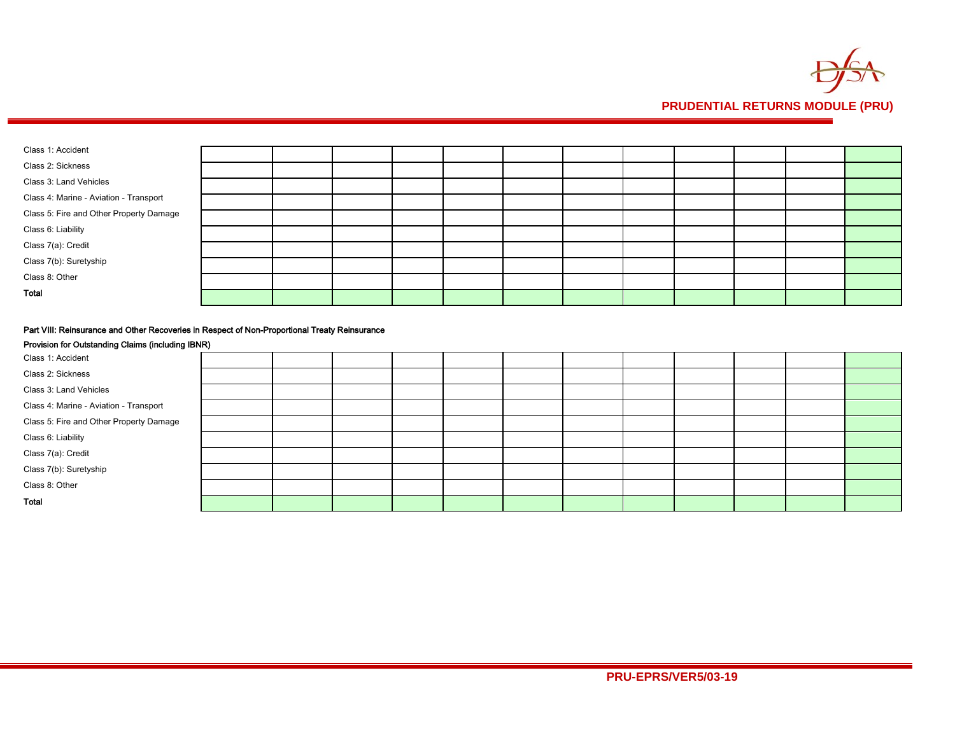

| Class 1: Accident                       |  |  |  |  |  |  |
|-----------------------------------------|--|--|--|--|--|--|
| Class 2: Sickness                       |  |  |  |  |  |  |
| Class 3: Land Vehicles                  |  |  |  |  |  |  |
| Class 4: Marine - Aviation - Transport  |  |  |  |  |  |  |
| Class 5: Fire and Other Property Damage |  |  |  |  |  |  |
| Class 6: Liability                      |  |  |  |  |  |  |
| Class 7(a): Credit                      |  |  |  |  |  |  |
| Class 7(b): Suretyship                  |  |  |  |  |  |  |
| Class 8: Other                          |  |  |  |  |  |  |
| Total                                   |  |  |  |  |  |  |

### Part VIII: Reinsurance and Other Recoveries in Respect of Non-Proportional Treaty Reinsurance

| Provision for Outstanding Claims (including IBNR) |  |  |  |  |  |  |
|---------------------------------------------------|--|--|--|--|--|--|
| Class 1: Accident                                 |  |  |  |  |  |  |
| Class 2: Sickness                                 |  |  |  |  |  |  |
| Class 3: Land Vehicles                            |  |  |  |  |  |  |
| Class 4: Marine - Aviation - Transport            |  |  |  |  |  |  |
| Class 5: Fire and Other Property Damage           |  |  |  |  |  |  |
| Class 6: Liability                                |  |  |  |  |  |  |
| Class 7(a): Credit                                |  |  |  |  |  |  |
| Class 7(b): Suretyship                            |  |  |  |  |  |  |
| Class 8: Other                                    |  |  |  |  |  |  |
| Total                                             |  |  |  |  |  |  |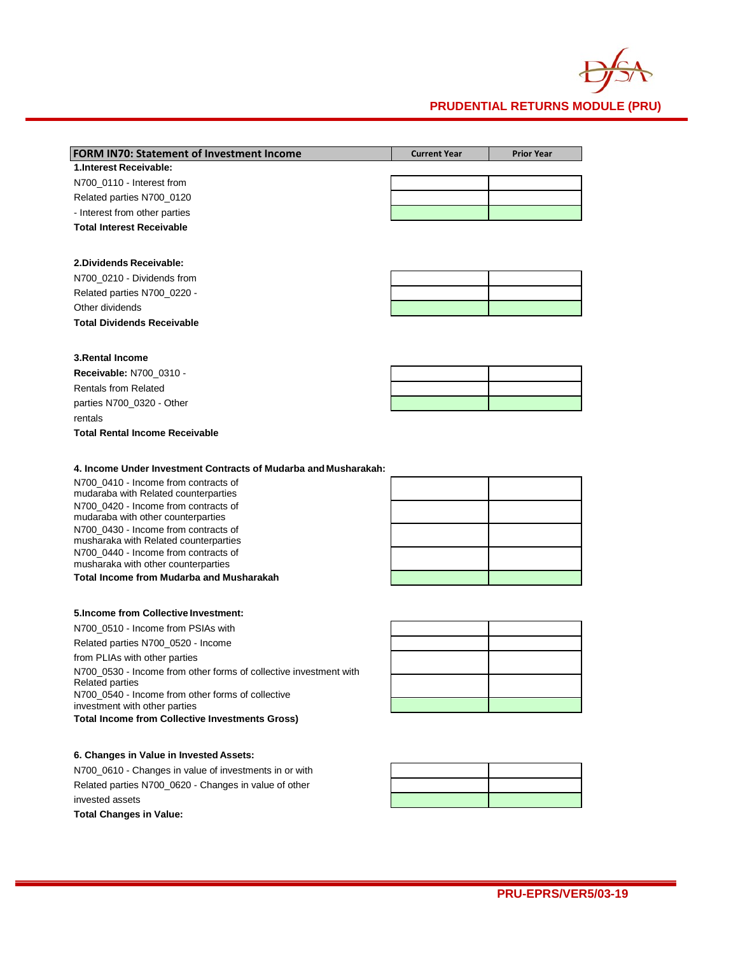

| <b>FORM IN70: Statement of Investment Income</b> | <b>Current Year</b> | <b>Prior Year</b> |
|--------------------------------------------------|---------------------|-------------------|
| 1. Interest Receivable:                          |                     |                   |
| N700 0110 - Interest from                        |                     |                   |
| Related parties N700 0120                        |                     |                   |
| - Interest from other parties                    |                     |                   |
| <b>Total Interest Receivable</b>                 |                     |                   |

#### **2.Dividends Receivable:**

| N700 0210 - Dividends from        |  |
|-----------------------------------|--|
| Related parties N700 0220 -       |  |
| Other dividends                   |  |
| <b>Total Dividends Receivable</b> |  |

### **3.Rental Income**

| 9.1391134111991119             |  |  |  |  |
|--------------------------------|--|--|--|--|
| <b>Receivable: N700 0310 -</b> |  |  |  |  |
| <b>Rentals from Related</b>    |  |  |  |  |
| parties N700 0320 - Other      |  |  |  |  |
| rentals                        |  |  |  |  |

**Total Rental Income Receivable**

**4. Income Under Investment Contracts of Mudarba and Musharakah:**

N700\_0410 - Income from contracts of mudaraba with Related counterparties N700\_0420 - Income from contracts of mudaraba with other counterparties N700\_0430 - Income from contracts of musharaka with Related counterparties N700\_0440 - Income from contracts of musharaka with other counterparties **Total Income from Mudarba and Musharakah**

#### **5.Income from Collective Investment:**

N700\_0510 - Income from PSIAs with Related parties N700\_0520 - Income from PLIAs with other parties N700\_0530 - Income from other forms of collective investment with Related parties N700\_0540 - Income from other forms of collective investment with other parties **Total Income from Collective Investments Gross)**

### **6. Changes in Value in Invested Assets:**

N700\_0610 - Changes in value of investments in or with Related parties N700\_0620 - Changes in value of other invested assets **Total Changes in Value:**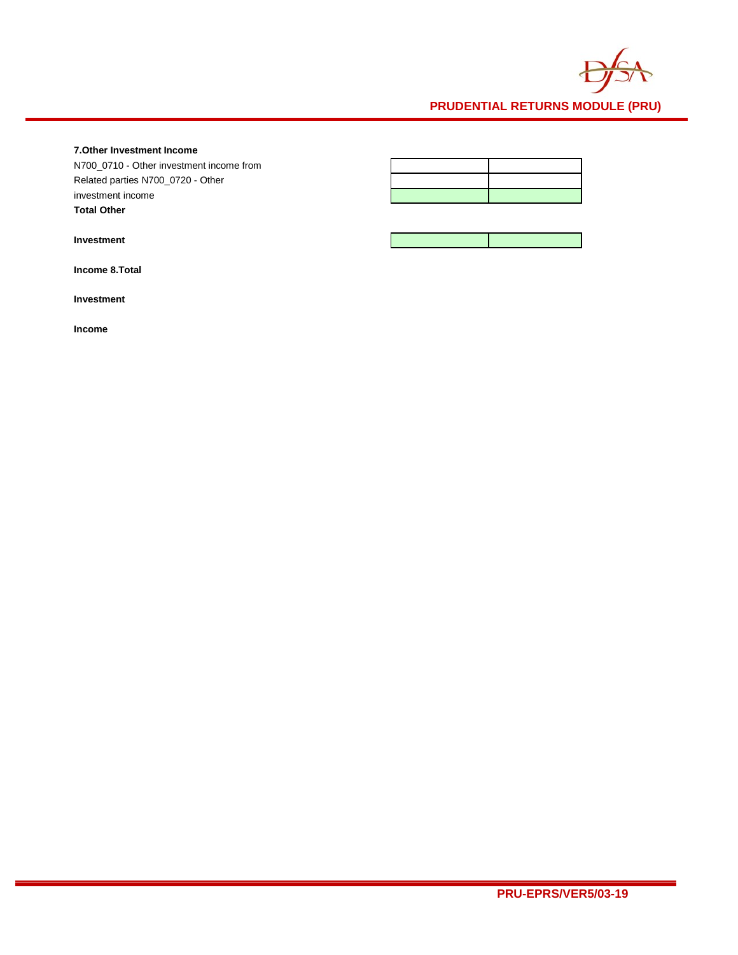

## **7.Other Investment Income**

N700\_0710 - Other investment income from Related parties N700\_0720 - Other investment income **Total Other** 

| <b>Investment</b> |
|-------------------|
|-------------------|

**Income 8.Total** 

**Investment** 

**Income**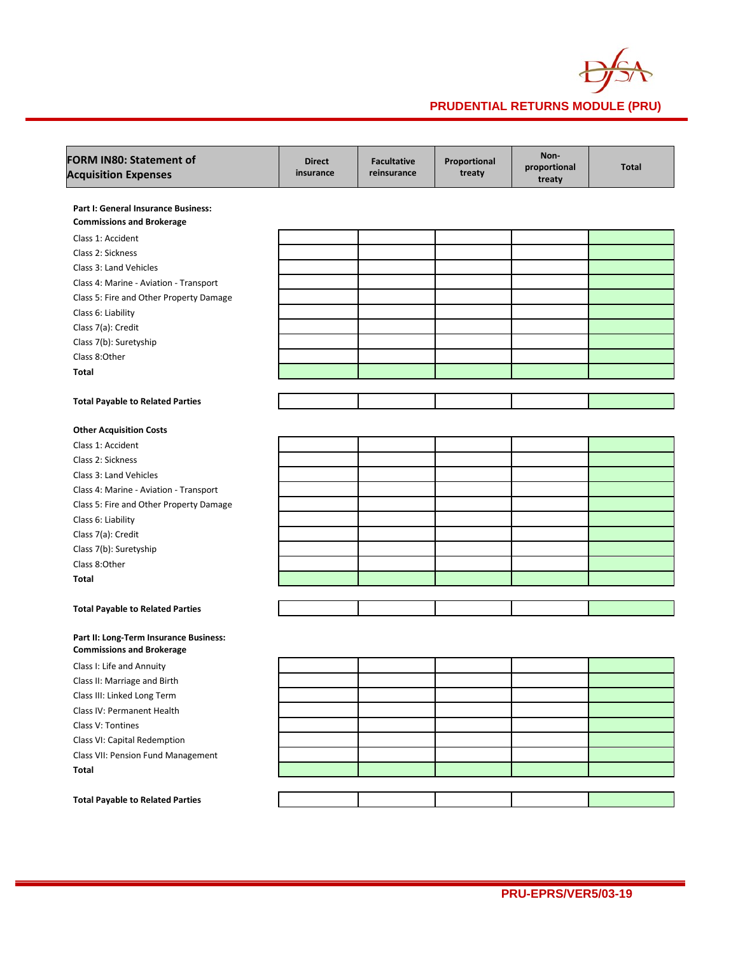

| <b>FORM IN80: Statement of</b><br><b>Acquisition Expenses</b>              | <b>Direct</b><br>insurance | <b>Facultative</b><br>reinsurance | Proportional<br>treaty | Non-<br>proportional<br>treaty | <b>Total</b> |
|----------------------------------------------------------------------------|----------------------------|-----------------------------------|------------------------|--------------------------------|--------------|
| Part I: General Insurance Business:                                        |                            |                                   |                        |                                |              |
| <b>Commissions and Brokerage</b>                                           |                            |                                   |                        |                                |              |
| Class 1: Accident                                                          |                            |                                   |                        |                                |              |
| Class 2: Sickness                                                          |                            |                                   |                        |                                |              |
| Class 3: Land Vehicles                                                     |                            |                                   |                        |                                |              |
| Class 4: Marine - Aviation - Transport                                     |                            |                                   |                        |                                |              |
| Class 5: Fire and Other Property Damage                                    |                            |                                   |                        |                                |              |
| Class 6: Liability                                                         |                            |                                   |                        |                                |              |
| Class 7(a): Credit                                                         |                            |                                   |                        |                                |              |
| Class 7(b): Suretyship                                                     |                            |                                   |                        |                                |              |
| Class 8:Other                                                              |                            |                                   |                        |                                |              |
| <b>Total</b>                                                               |                            |                                   |                        |                                |              |
| <b>Total Payable to Related Parties</b>                                    |                            |                                   |                        |                                |              |
| <b>Other Acquisition Costs</b>                                             |                            |                                   |                        |                                |              |
| Class 1: Accident                                                          |                            |                                   |                        |                                |              |
| Class 2: Sickness                                                          |                            |                                   |                        |                                |              |
| Class 3: Land Vehicles                                                     |                            |                                   |                        |                                |              |
| Class 4: Marine - Aviation - Transport                                     |                            |                                   |                        |                                |              |
| Class 5: Fire and Other Property Damage                                    |                            |                                   |                        |                                |              |
| Class 6: Liability                                                         |                            |                                   |                        |                                |              |
| Class 7(a): Credit                                                         |                            |                                   |                        |                                |              |
| Class 7(b): Suretyship                                                     |                            |                                   |                        |                                |              |
| Class 8:Other                                                              |                            |                                   |                        |                                |              |
| Total                                                                      |                            |                                   |                        |                                |              |
|                                                                            |                            |                                   |                        |                                |              |
| <b>Total Payable to Related Parties</b>                                    |                            |                                   |                        |                                |              |
| Part II: Long-Term Insurance Business:<br><b>Commissions and Brokerage</b> |                            |                                   |                        |                                |              |
| Class I: Life and Annuity                                                  |                            |                                   |                        |                                |              |
| Class II: Marriage and Birth                                               |                            |                                   |                        |                                |              |
| Class III: Linked Long Term                                                |                            |                                   |                        |                                |              |
| Class IV: Permanent Health                                                 |                            |                                   |                        |                                |              |
| Class V: Tontines                                                          |                            |                                   |                        |                                |              |
| Class VI: Capital Redemption                                               |                            |                                   |                        |                                |              |
| Class VII: Pension Fund Management                                         |                            |                                   |                        |                                |              |
| Total                                                                      |                            |                                   |                        |                                |              |
|                                                                            |                            |                                   |                        |                                |              |
| <b>Total Payable to Related Parties</b>                                    |                            |                                   |                        |                                |              |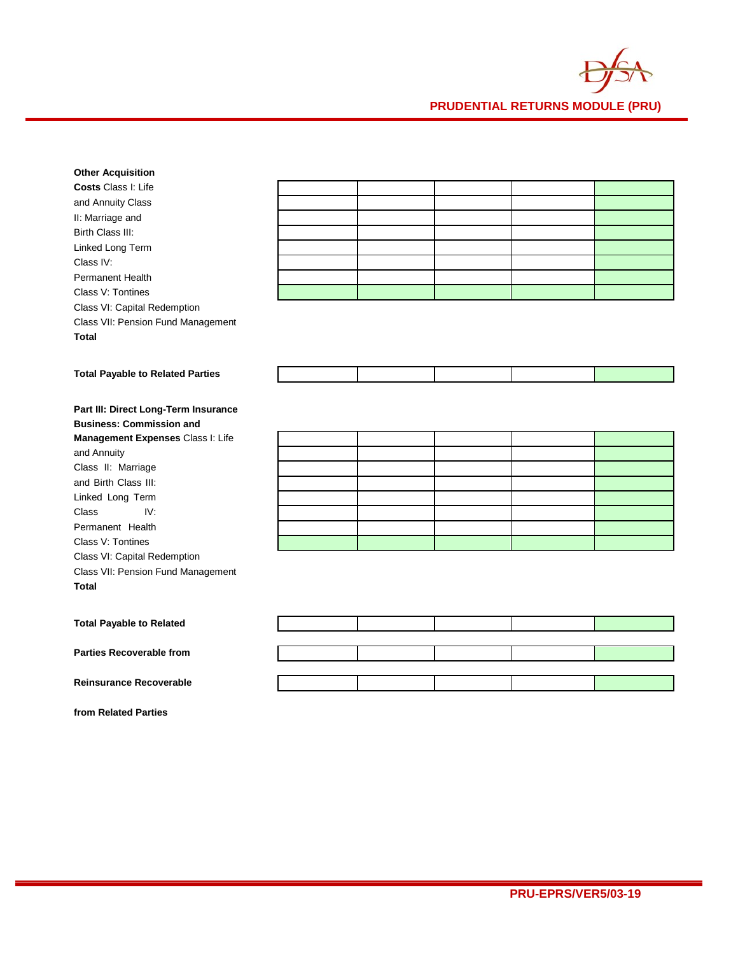

| <b>Other Acquisition</b>                |  |  |  |
|-----------------------------------------|--|--|--|
| Costs Class I: Life                     |  |  |  |
| and Annuity Class                       |  |  |  |
| II: Marriage and                        |  |  |  |
| Birth Class III:                        |  |  |  |
| Linked Long Term                        |  |  |  |
| Class IV:                               |  |  |  |
| <b>Permanent Health</b>                 |  |  |  |
| Class V: Tontines                       |  |  |  |
| Class VI: Capital Redemption            |  |  |  |
| Class VII: Pension Fund Management      |  |  |  |
| <b>Total</b>                            |  |  |  |
|                                         |  |  |  |
| <b>Total Payable to Related Parties</b> |  |  |  |
|                                         |  |  |  |
|                                         |  |  |  |
| Part III: Direct Long-Term Insurance    |  |  |  |
| <b>Business: Commission and</b>         |  |  |  |
| Management Expenses Class I: Life       |  |  |  |
| and Annuity                             |  |  |  |
| Class II: Marriage                      |  |  |  |
| and Birth Class III:                    |  |  |  |
| Linked Long Term                        |  |  |  |
| Class<br>IV:                            |  |  |  |
| Permanent Health                        |  |  |  |
| Class V: Tontines                       |  |  |  |
| Class VI: Capital Redemption            |  |  |  |
| Class VII: Pension Fund Management      |  |  |  |
| <b>Total</b>                            |  |  |  |
|                                         |  |  |  |
| <b>Total Payable to Related</b>         |  |  |  |
|                                         |  |  |  |
| <b>Parties Recoverable from</b>         |  |  |  |

**Reinsurance Recoverable** 

**from Related Parties**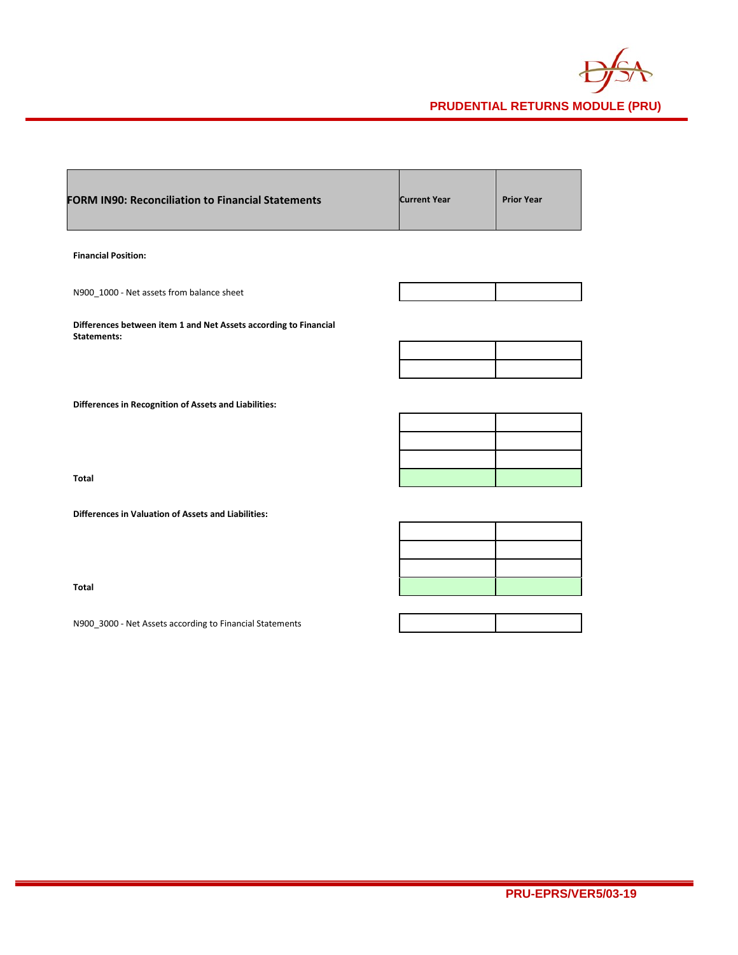

| <b>FORM IN90: Reconciliation to Financial Statements</b>                               | <b>Current Year</b> | <b>Prior Year</b> |
|----------------------------------------------------------------------------------------|---------------------|-------------------|
| <b>Financial Position:</b>                                                             |                     |                   |
| N900_1000 - Net assets from balance sheet                                              |                     |                   |
| Differences between item 1 and Net Assets according to Financial<br><b>Statements:</b> |                     |                   |
|                                                                                        |                     |                   |
|                                                                                        |                     |                   |
| <b>Differences in Recognition of Assets and Liabilities:</b>                           |                     |                   |
|                                                                                        |                     |                   |
|                                                                                        |                     |                   |
|                                                                                        |                     |                   |
| <b>Total</b>                                                                           |                     |                   |
| <b>Differences in Valuation of Assets and Liabilities:</b>                             |                     |                   |
|                                                                                        |                     |                   |
|                                                                                        |                     |                   |

**Total**

N900\_3000 - Net Assets according to Financial Statements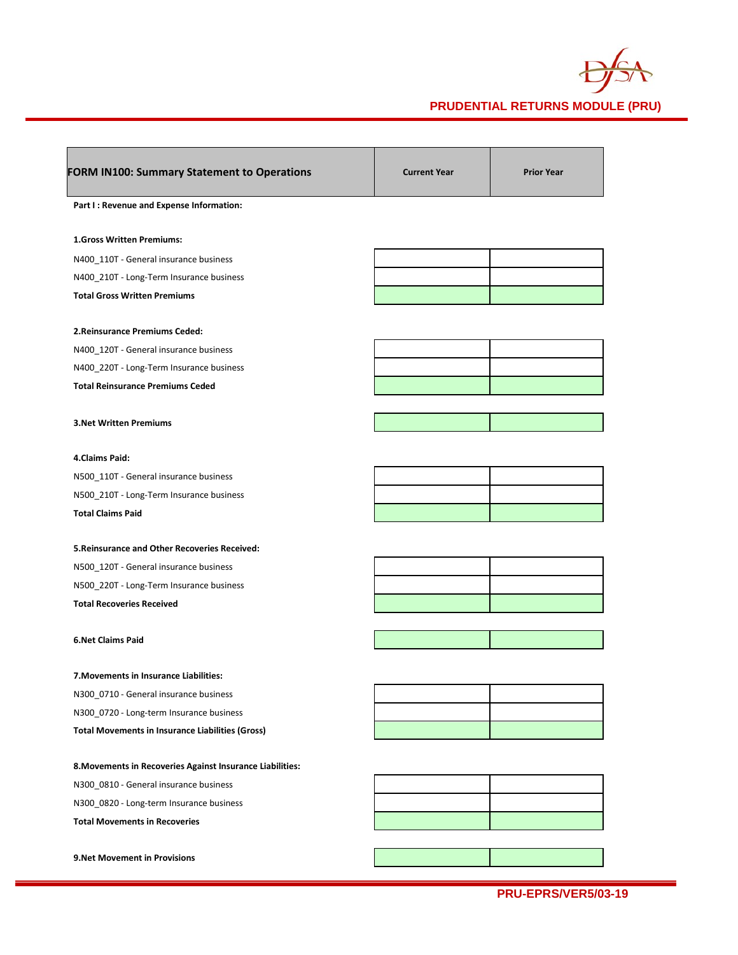

| <b>FORM IN100: Summary Statement to Operations</b>                                 | <b>Current Year</b> | <b>Prior Year</b> |
|------------------------------------------------------------------------------------|---------------------|-------------------|
| Part I : Revenue and Expense Information:                                          |                     |                   |
| 1.Gross Written Premiums:                                                          |                     |                   |
| N400_110T - General insurance business                                             |                     |                   |
| N400_210T - Long-Term Insurance business                                           |                     |                   |
| <b>Total Gross Written Premiums</b>                                                |                     |                   |
| 2. Reinsurance Premiums Ceded:                                                     |                     |                   |
| N400_120T - General insurance business                                             |                     |                   |
| N400_220T - Long-Term Insurance business                                           |                     |                   |
| <b>Total Reinsurance Premiums Ceded</b>                                            |                     |                   |
| <b>3. Net Written Premiums</b>                                                     |                     |                   |
| 4.Claims Paid:                                                                     |                     |                   |
| N500_110T - General insurance business                                             |                     |                   |
| N500_210T - Long-Term Insurance business                                           |                     |                   |
| <b>Total Claims Paid</b>                                                           |                     |                   |
| <b>5. Reinsurance and Other Recoveries Received:</b>                               |                     |                   |
| N500_120T - General insurance business                                             |                     |                   |
| N500_220T - Long-Term Insurance business                                           |                     |                   |
| <b>Total Recoveries Received</b>                                                   |                     |                   |
| <b>6.Net Claims Paid</b>                                                           |                     |                   |
|                                                                                    |                     |                   |
| 7. Movements in Insurance Liabilities:                                             |                     |                   |
| N300_0710 - General insurance business<br>N300 0720 - Long-term Insurance business |                     |                   |
| <b>Total Movements in Insurance Liabilities (Gross)</b>                            |                     |                   |
|                                                                                    |                     |                   |
| 8. Movements in Recoveries Against Insurance Liabilities:                          |                     |                   |
| N300 0810 - General insurance business                                             |                     |                   |
| N300_0820 - Long-term Insurance business                                           |                     |                   |
| <b>Total Movements in Recoveries</b>                                               |                     |                   |
| 9. Net Movement in Provisions                                                      |                     |                   |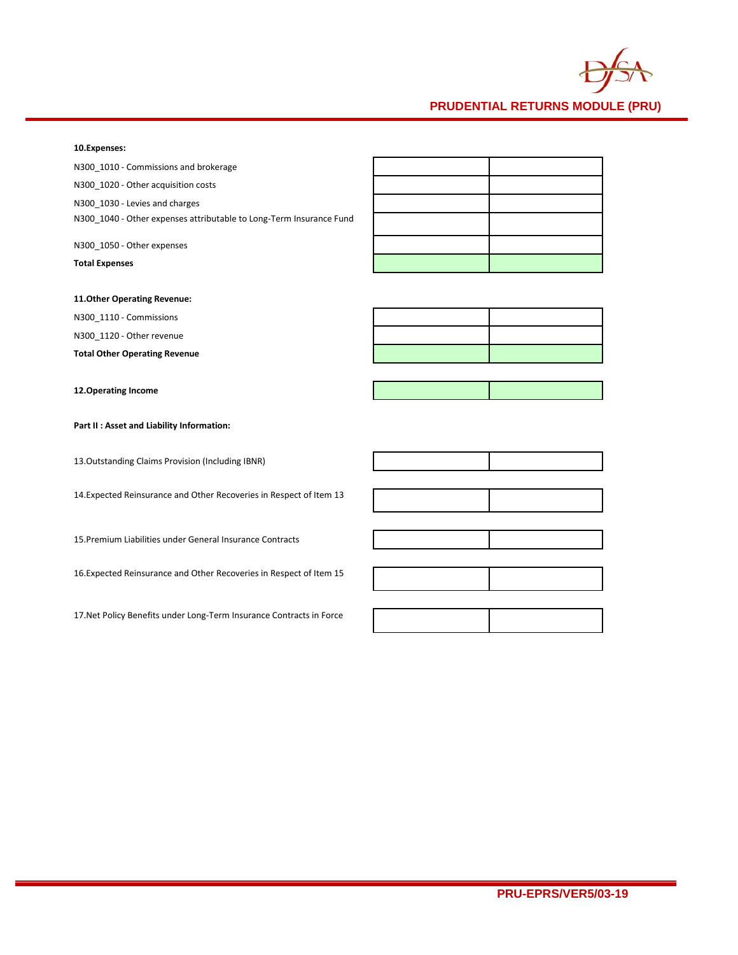

#### **10.Expenses:**

## **11.Other Operating Revenue:**

N300\_1110 - Commissions

N300\_1120 - Other revenue

**Total Other Operating Revenue**

**12.Operating Income**

**Part II : Asset and Liability Information:**

13.Outstanding Claims Provision (Including IBNR)

14.Expected Reinsurance and Other Recoveries in Respect of Item 13

15.Premium Liabilities under General Insurance Contracts

16.Expected Reinsurance and Other Recoveries in Respect of Item 15

17.Net Policy Benefits under Long-Term Insurance Contracts in Force





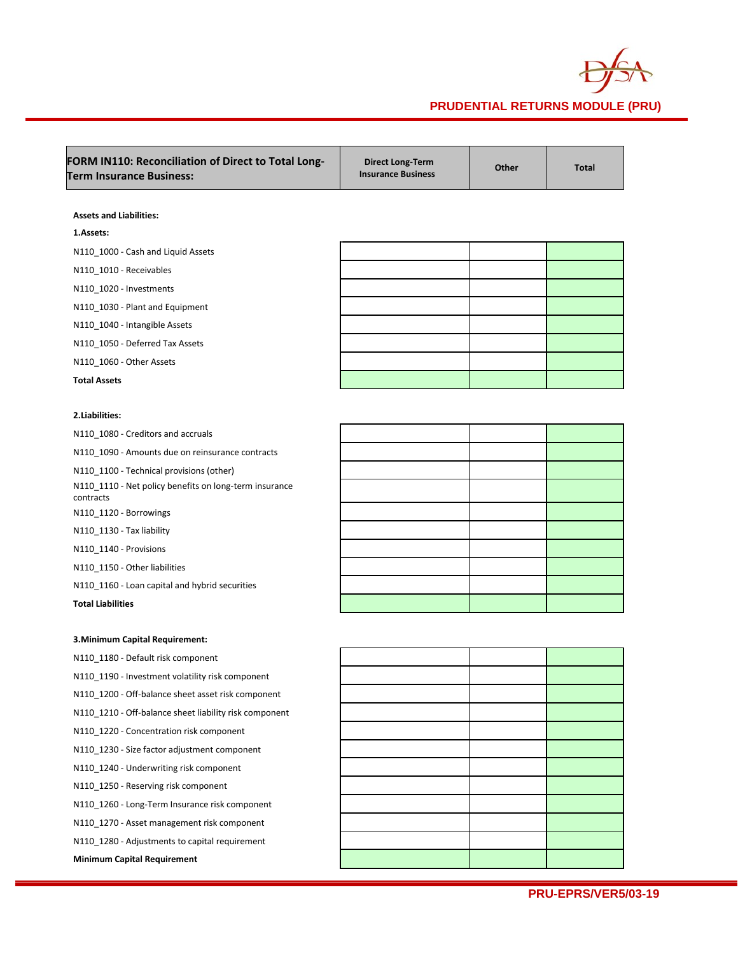

| FORM IN110: Reconciliation of Direct to Total Long-<br><b>Term Insurance Business:</b> | <b>Direct Long-Term</b><br><b>Insurance Business</b> | Other | <b>Total</b> |
|----------------------------------------------------------------------------------------|------------------------------------------------------|-------|--------------|
| <b>Assets and Liabilities:</b>                                                         |                                                      |       |              |
| 1.Assets:                                                                              |                                                      |       |              |
| N110_1000 - Cash and Liquid Assets                                                     |                                                      |       |              |
| N110 1010 - Receivables                                                                |                                                      |       |              |
| N110_1020 - Investments                                                                |                                                      |       |              |
| N110_1030 - Plant and Equipment                                                        |                                                      |       |              |
| N110_1040 - Intangible Assets                                                          |                                                      |       |              |
| N110_1050 - Deferred Tax Assets                                                        |                                                      |       |              |
| N110_1060 - Other Assets                                                               |                                                      |       |              |
| <b>Total Assets</b>                                                                    |                                                      |       |              |
|                                                                                        |                                                      |       |              |
| 2.Liabilities:                                                                         |                                                      |       |              |
| N110_1080 - Creditors and accruals                                                     |                                                      |       |              |
| N110_1090 - Amounts due on reinsurance contracts                                       |                                                      |       |              |
| N110 1100 - Technical provisions (other)                                               |                                                      |       |              |
| N110_1110 - Net policy benefits on long-term insurance<br>contracts                    |                                                      |       |              |
| N110_1120 - Borrowings                                                                 |                                                      |       |              |
| N110_1130 - Tax liability                                                              |                                                      |       |              |
| N110_1140 - Provisions                                                                 |                                                      |       |              |
| N110_1150 - Other liabilities                                                          |                                                      |       |              |
| N110_1160 - Loan capital and hybrid securities                                         |                                                      |       |              |
| <b>Total Liabilities</b>                                                               |                                                      |       |              |
|                                                                                        |                                                      |       |              |
| 3. Minimum Capital Requirement:                                                        |                                                      |       |              |
| N110_1180 - Default risk component                                                     |                                                      |       |              |
| N110_1190 - Investment volatility risk component                                       |                                                      |       |              |
| N110_1200 - Off-balance sheet asset risk component                                     |                                                      |       |              |
| N110 1210 - Off-balance sheet liability risk component                                 |                                                      |       |              |
| N110_1220 - Concentration risk component                                               |                                                      |       |              |
| N110_1230 - Size factor adjustment component                                           |                                                      |       |              |
| N110_1240 - Underwriting risk component                                                |                                                      |       |              |
| N110_1250 - Reserving risk component                                                   |                                                      |       |              |
| N110_1260 - Long-Term Insurance risk component                                         |                                                      |       |              |
| N110_1270 - Asset management risk component                                            |                                                      |       |              |
| N110_1280 - Adjustments to capital requirement                                         |                                                      |       |              |
| <b>Minimum Capital Requirement</b>                                                     |                                                      |       |              |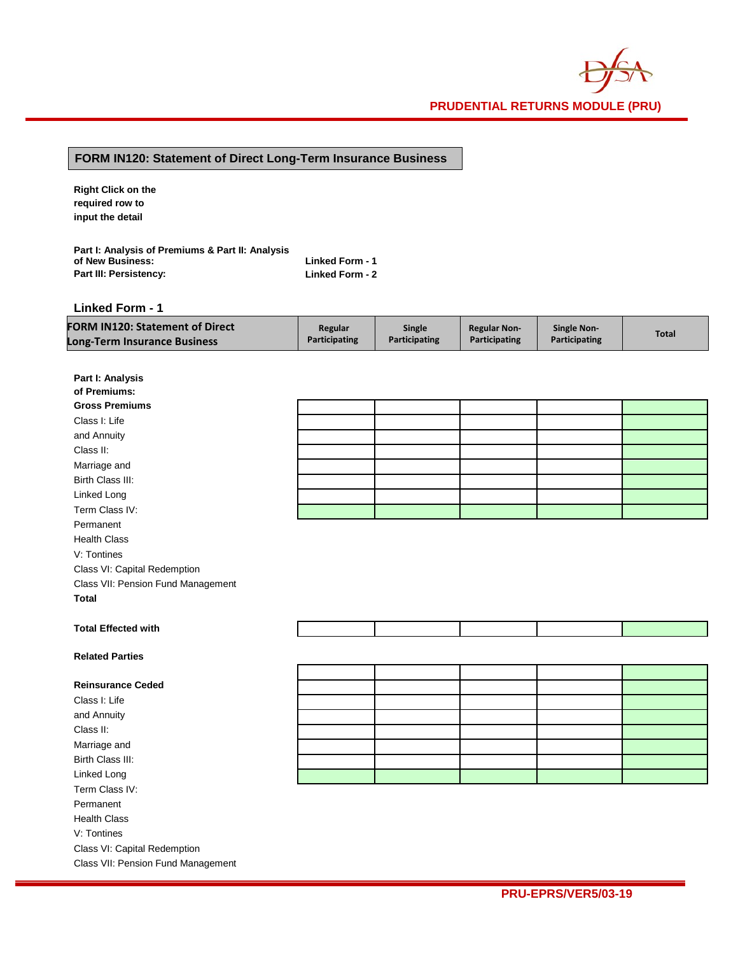# **FORM IN120: Statement of Direct Long-Term Insurance Business**

**Right Click on the required row to input the detail**

| Part I: Analysis of Premiums & Part II: Analysis |                        |
|--------------------------------------------------|------------------------|
| of New Business:                                 | <b>Linked Form - 1</b> |
| Part III: Persistency:                           | Linked Form - 2        |

**Linked Form - 1**

| <b>FORM IN120: Statement of Direct</b> | Regular              | <b>Single</b>        | <b>Regular Non-</b> | <b>Single Non-</b>   | <b>Total</b> |
|----------------------------------------|----------------------|----------------------|---------------------|----------------------|--------------|
| Long-Term Insurance Business           | <b>Participating</b> | <b>Participating</b> | Participating       | <b>Participating</b> |              |

| Part I: Analysis                   |  |  |  |  |  |  |
|------------------------------------|--|--|--|--|--|--|
| of Premiums:                       |  |  |  |  |  |  |
| <b>Gross Premiums</b>              |  |  |  |  |  |  |
| Class I: Life                      |  |  |  |  |  |  |
| and Annuity                        |  |  |  |  |  |  |
| Class II:                          |  |  |  |  |  |  |
| Marriage and                       |  |  |  |  |  |  |
| Birth Class III:                   |  |  |  |  |  |  |
| Linked Long                        |  |  |  |  |  |  |
| Term Class IV:                     |  |  |  |  |  |  |
| Permanent                          |  |  |  |  |  |  |
| <b>Health Class</b>                |  |  |  |  |  |  |
| V: Tontines                        |  |  |  |  |  |  |
| Class VI: Capital Redemption       |  |  |  |  |  |  |
| Class VII: Pension Fund Management |  |  |  |  |  |  |
| <b>Total</b>                       |  |  |  |  |  |  |
|                                    |  |  |  |  |  |  |
| <b>Total Effected with</b>         |  |  |  |  |  |  |
|                                    |  |  |  |  |  |  |
| <b>Related Parties</b>             |  |  |  |  |  |  |
|                                    |  |  |  |  |  |  |
| <b>Reinsurance Ceded</b>           |  |  |  |  |  |  |
| Class I: Life                      |  |  |  |  |  |  |
| and Annuity                        |  |  |  |  |  |  |
| Class II:                          |  |  |  |  |  |  |
| Marriage and                       |  |  |  |  |  |  |
| Birth Class III:                   |  |  |  |  |  |  |
| Linked Long                        |  |  |  |  |  |  |
| Term Class IV:                     |  |  |  |  |  |  |
| Permanent                          |  |  |  |  |  |  |
| <b>Health Class</b>                |  |  |  |  |  |  |
| V: Tontines                        |  |  |  |  |  |  |
|                                    |  |  |  |  |  |  |
| Class VI: Capital Redemption       |  |  |  |  |  |  |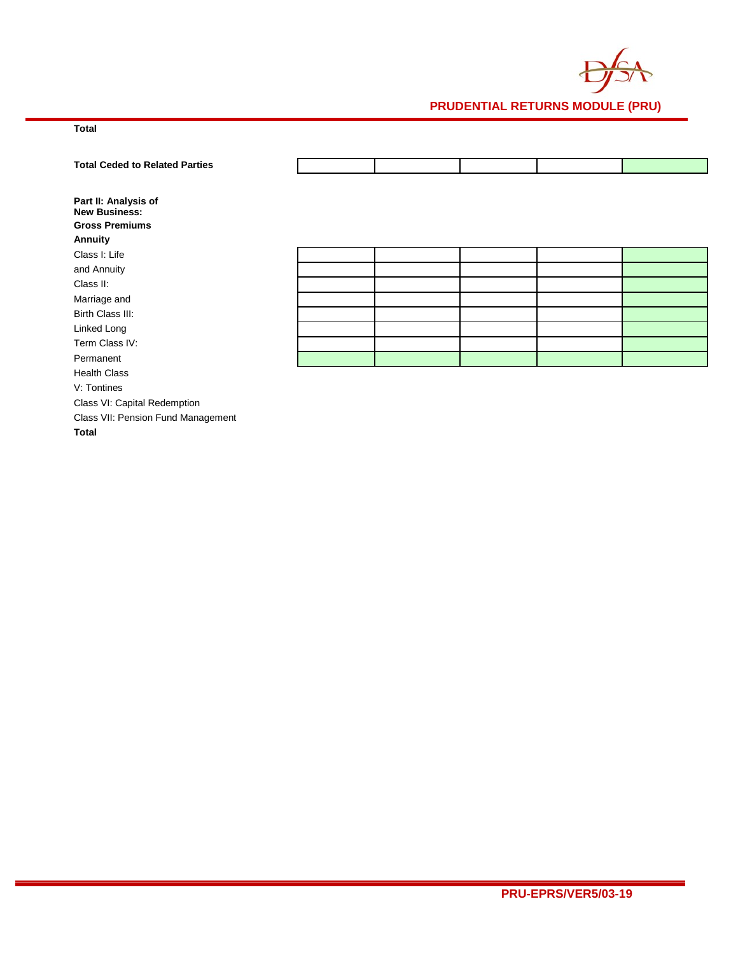

# **Total**

| <b>Total Ceded to Related Parties</b>                                            |  |  |  |
|----------------------------------------------------------------------------------|--|--|--|
| Part II: Analysis of<br><b>New Business:</b><br><b>Gross Premiums</b><br>Annuity |  |  |  |
| Class I: Life                                                                    |  |  |  |
| and Annuity                                                                      |  |  |  |
| Class II:                                                                        |  |  |  |
| Marriage and                                                                     |  |  |  |
| Birth Class III:                                                                 |  |  |  |
| Linked Long                                                                      |  |  |  |
| Term Class IV:                                                                   |  |  |  |
| Permanent                                                                        |  |  |  |
| <b>Health Class</b>                                                              |  |  |  |
| V: Tontines                                                                      |  |  |  |
| Class VI: Capital Redemption                                                     |  |  |  |
| Class VII: Pension Fund Management                                               |  |  |  |

**Total**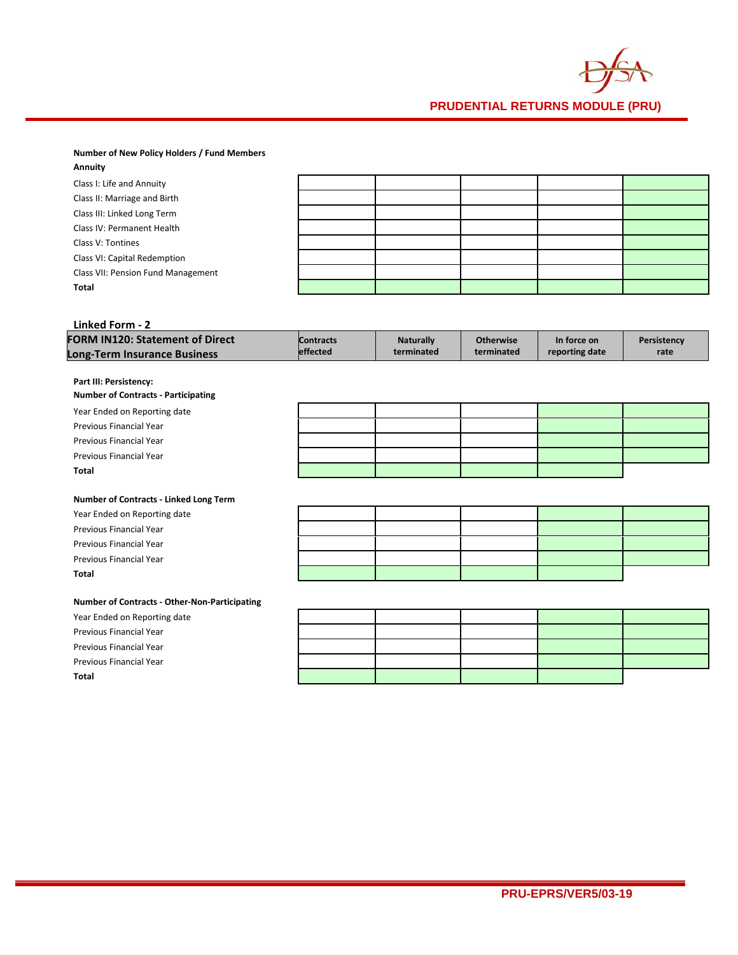

#### **Number of New Policy Holders / Fund Members Annuity**

| Annuity                            |  |  |  |
|------------------------------------|--|--|--|
| Class I: Life and Annuity          |  |  |  |
| Class II: Marriage and Birth       |  |  |  |
| Class III: Linked Long Term        |  |  |  |
| Class IV: Permanent Health         |  |  |  |
| Class V: Tontines                  |  |  |  |
| Class VI: Capital Redemption       |  |  |  |
| Class VII: Pension Fund Management |  |  |  |
| Total                              |  |  |  |
|                                    |  |  |  |

#### **Linked Form - 2 FORM IN120: Statement of Direct Long-Term Insurance Business Contracts effected Naturally terminated Otherwise terminated In force on reporting date Persistency rate**

#### **Part III: Persistency:**

| <b>Number of Contracts - Participating</b> |  |  |  |  |  |  |
|--------------------------------------------|--|--|--|--|--|--|
| Year Ended on Reporting date               |  |  |  |  |  |  |
| Previous Financial Year                    |  |  |  |  |  |  |
| Previous Financial Year                    |  |  |  |  |  |  |
| Previous Financial Year                    |  |  |  |  |  |  |
| <b>Total</b>                               |  |  |  |  |  |  |

## **Number of Contracts - Linked Long Term**

#### **Number of Contracts - Other-Non-Participating**

|  | Year Ended on Reporting date |  |
|--|------------------------------|--|
|  |                              |  |

Year Ended on Reporting date Previous Financial Year Previous Financial Year Previous Financial Year

- Previous Financial Year
- Previous Financial Year
- Previous Financial Year

**Total**

**Total**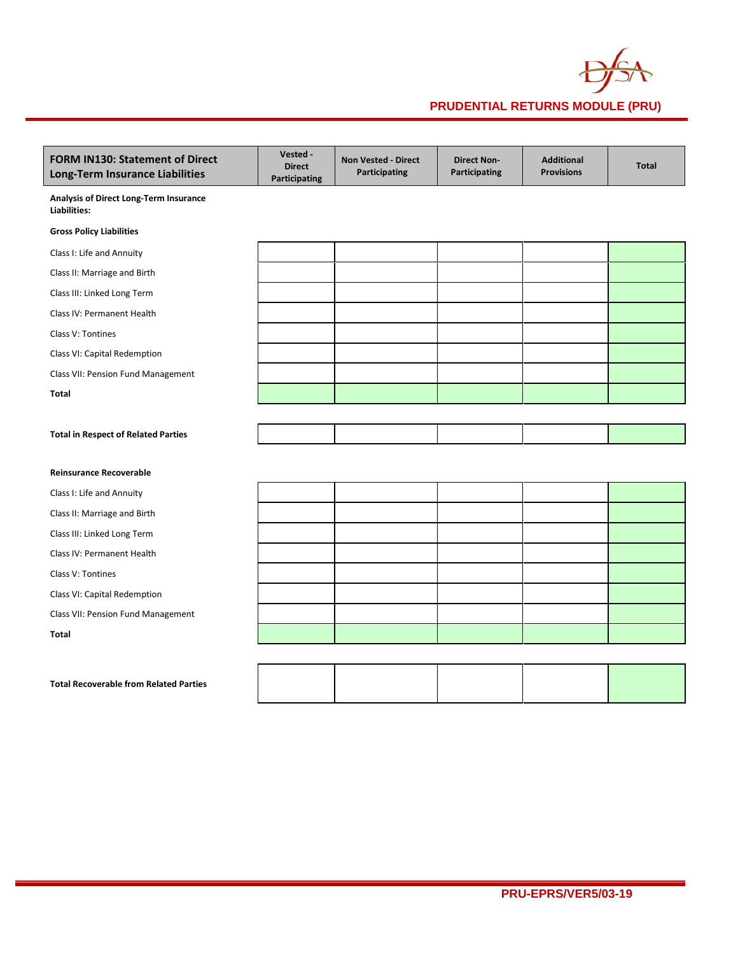

| <b>FORM IN130: Statement of Direct</b><br>Long-Term Insurance Liabilities | Vested -<br><b>Direct</b><br>Participating | <b>Non Vested - Direct</b><br>Participating | <b>Direct Non-</b><br>Participating | <b>Additional</b><br><b>Provisions</b> | <b>Total</b> |
|---------------------------------------------------------------------------|--------------------------------------------|---------------------------------------------|-------------------------------------|----------------------------------------|--------------|
| Analysis of Direct Long-Term Insurance<br>Liabilities:                    |                                            |                                             |                                     |                                        |              |
| <b>Gross Policy Liabilities</b>                                           |                                            |                                             |                                     |                                        |              |
| Class I: Life and Annuity                                                 |                                            |                                             |                                     |                                        |              |
| Class II: Marriage and Birth                                              |                                            |                                             |                                     |                                        |              |
| Class III: Linked Long Term                                               |                                            |                                             |                                     |                                        |              |
| Class IV: Permanent Health                                                |                                            |                                             |                                     |                                        |              |
| Class V: Tontines                                                         |                                            |                                             |                                     |                                        |              |
| Class VI: Capital Redemption                                              |                                            |                                             |                                     |                                        |              |
| Class VII: Pension Fund Management                                        |                                            |                                             |                                     |                                        |              |
| <b>Total</b>                                                              |                                            |                                             |                                     |                                        |              |
|                                                                           |                                            |                                             |                                     |                                        |              |
| <b>Total in Respect of Related Parties</b>                                |                                            |                                             |                                     |                                        |              |
|                                                                           |                                            |                                             |                                     |                                        |              |
| <b>Reinsurance Recoverable</b>                                            |                                            |                                             |                                     |                                        |              |
| Class I: Life and Annuity                                                 |                                            |                                             |                                     |                                        |              |
| Class II: Marriage and Birth                                              |                                            |                                             |                                     |                                        |              |
| Class III: Linked Long Term                                               |                                            |                                             |                                     |                                        |              |
| Class IV: Permanent Health                                                |                                            |                                             |                                     |                                        |              |
| Class V: Tontines                                                         |                                            |                                             |                                     |                                        |              |
| Class VI: Capital Redemption                                              |                                            |                                             |                                     |                                        |              |
| Class VII: Pension Fund Management                                        |                                            |                                             |                                     |                                        |              |
| <b>Total</b>                                                              |                                            |                                             |                                     |                                        |              |
|                                                                           |                                            |                                             |                                     |                                        |              |
| <b>Total Recoverable from Related Parties</b>                             |                                            |                                             |                                     |                                        |              |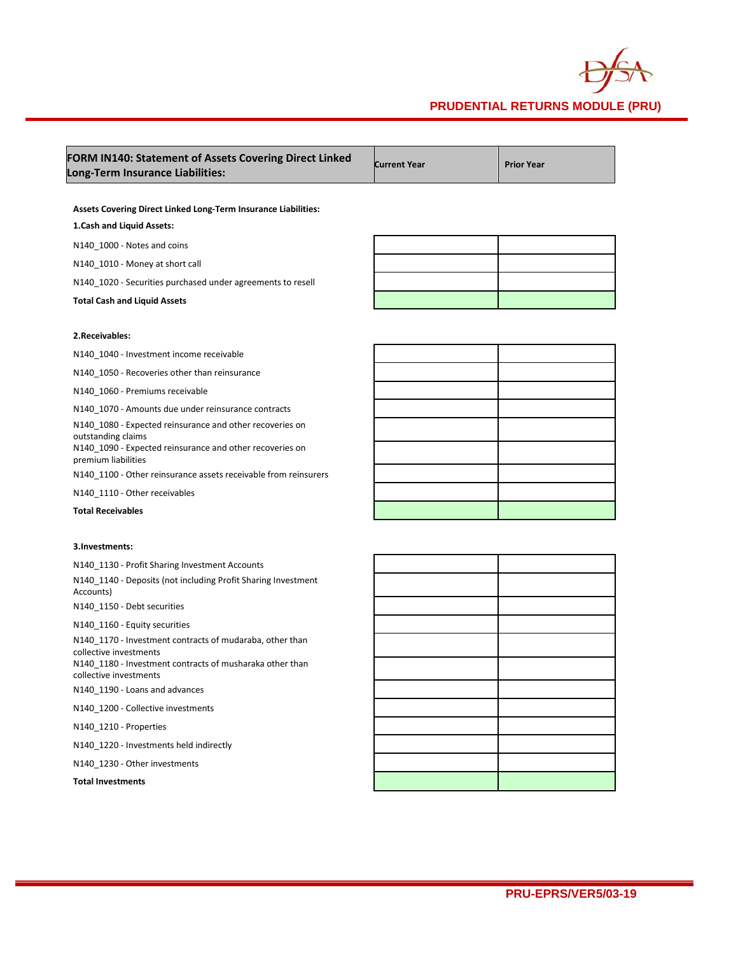

| FORM IN140: Statement of Assets Covering Direct Linked<br>Long-Term Insurance Liabilities:                                                     | <b>Current Year</b> | <b>Prior Year</b> |
|------------------------------------------------------------------------------------------------------------------------------------------------|---------------------|-------------------|
|                                                                                                                                                |                     |                   |
| Assets Covering Direct Linked Long-Term Insurance Liabilities:                                                                                 |                     |                   |
| 1. Cash and Liquid Assets:                                                                                                                     |                     |                   |
| N140_1000 - Notes and coins                                                                                                                    |                     |                   |
| N140 1010 - Money at short call                                                                                                                |                     |                   |
| N140_1020 - Securities purchased under agreements to resell                                                                                    |                     |                   |
| <b>Total Cash and Liquid Assets</b>                                                                                                            |                     |                   |
| 2. Receivables:                                                                                                                                |                     |                   |
| N140 1040 - Investment income receivable                                                                                                       |                     |                   |
| N140_1050 - Recoveries other than reinsurance                                                                                                  |                     |                   |
| N140_1060 - Premiums receivable                                                                                                                |                     |                   |
| N140 1070 - Amounts due under reinsurance contracts                                                                                            |                     |                   |
| N140_1080 - Expected reinsurance and other recoveries on<br>outstanding claims                                                                 |                     |                   |
| N140_1090 - Expected reinsurance and other recoveries on<br>premium liabilities                                                                |                     |                   |
| N140_1100 - Other reinsurance assets receivable from reinsurers                                                                                |                     |                   |
| N140_1110 - Other receivables                                                                                                                  |                     |                   |
| <b>Total Receivables</b>                                                                                                                       |                     |                   |
| 3. Investments:                                                                                                                                |                     |                   |
| N140_1130 - Profit Sharing Investment Accounts                                                                                                 |                     |                   |
| N140_1140 - Deposits (not including Profit Sharing Investment<br>Accounts)                                                                     |                     |                   |
| N140_1150 - Debt securities                                                                                                                    |                     |                   |
| N140_1160 - Equity securities                                                                                                                  |                     |                   |
| N140_1170 - Investment contracts of mudaraba, other than<br>collective investments<br>N140_1180 - Investment contracts of musharaka other than |                     |                   |
| collective investments<br>N140 1190 - Loans and advances                                                                                       |                     |                   |
| N140 1200 - Collective investments                                                                                                             |                     |                   |
|                                                                                                                                                |                     |                   |
| N140 1210 - Properties                                                                                                                         |                     |                   |
| N140_1220 - Investments held indirectly                                                                                                        |                     |                   |
| N140_1230 - Other investments<br><b>Total Investments</b>                                                                                      |                     |                   |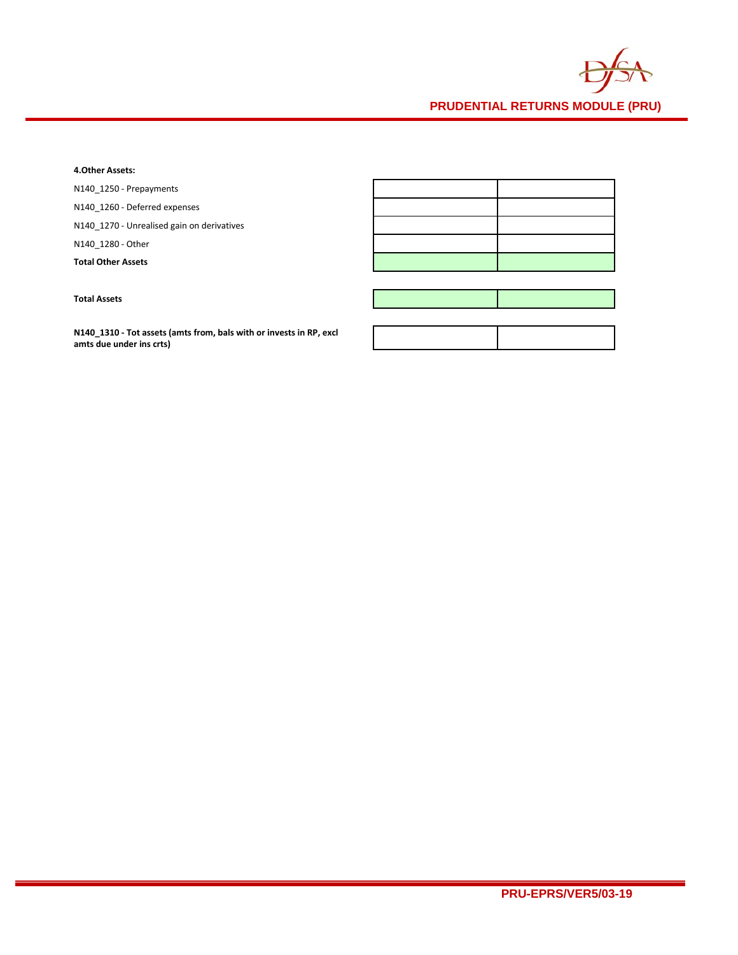

### **4.Other Assets:**

N140\_1250 - Prepayments

N140\_1260 - Deferred expenses

N140\_1270 - Unrealised gain on derivatives

N140\_1280 - Other

**Total Other Assets**

**Total Assets**

**N140\_1310 - Tot assets (amts from, bals with or invests in RP, excl amts due under ins crts)**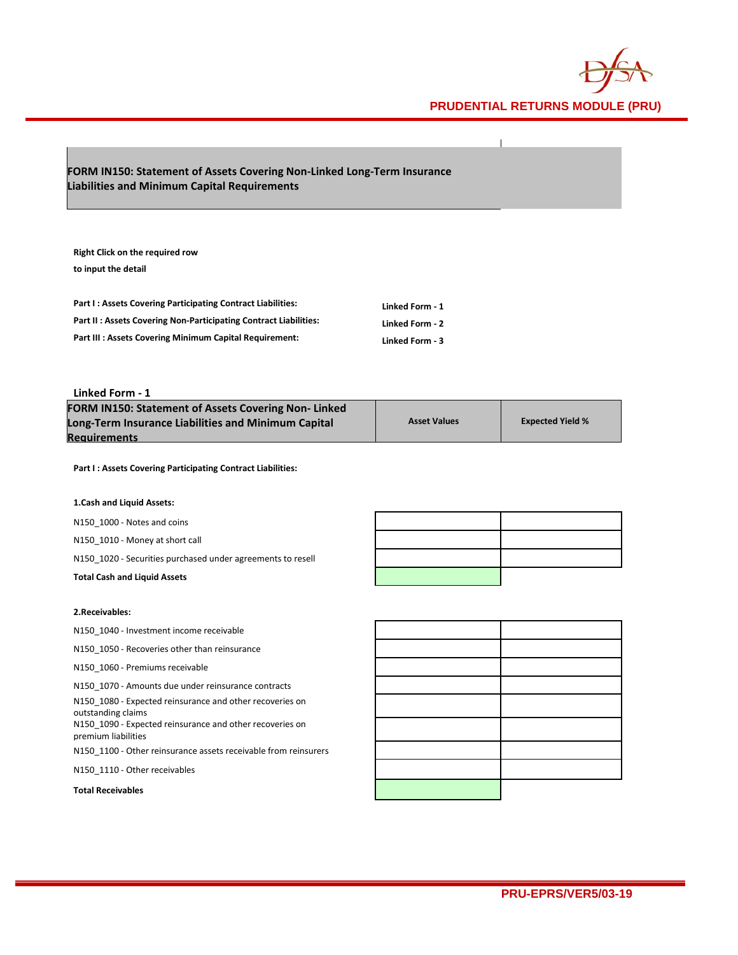

# **FORM IN150: Statement of Assets Covering Non-Linked Long-Term Insurance Liabilities and Minimum Capital Requirements**

**Right Click on the required row to input the detail**

| Part I: Assets Covering Participating Contract Liabilities:      | Linked Form - 1 |
|------------------------------------------------------------------|-----------------|
| Part II: Assets Covering Non-Participating Contract Liabilities: | Linked Form - 2 |
| <b>Part III: Assets Covering Minimum Capital Requirement:</b>    | Linked Form - 3 |

### **Linked Form - 1**

| <b>FORM IN150: Statement of Assets Covering Non-Linked</b> |                     |                         |
|------------------------------------------------------------|---------------------|-------------------------|
| Long-Term Insurance Liabilities and Minimum Capital        | <b>Asset Values</b> | <b>Expected Yield %</b> |
| Reauirements                                               |                     |                         |

**Part I : Assets Covering Participating Contract Liabilities:**

#### **1.Cash and Liquid Assets:**

N150\_1000 - Notes and coins

N150\_1010 - Money at short call

N150\_1020 - Securities purchased under agreements to resell

**Total Cash and Liquid Assets**

### **2.Receivables:**

N150\_1040 - Investment income receivable

N150\_1050 - Recoveries other than reinsurance

N150\_1060 - Premiums receivable

N150\_1070 - Amounts due under reinsurance contracts

N150\_1080 - Expected reinsurance and other recoveries on outstanding claims

N150\_1090 - Expected reinsurance and other recoveries on premium liabilities

N150\_1100 - Other reinsurance assets receivable from reinsurers

N150\_1110 - Other receivables

**Total Receivables**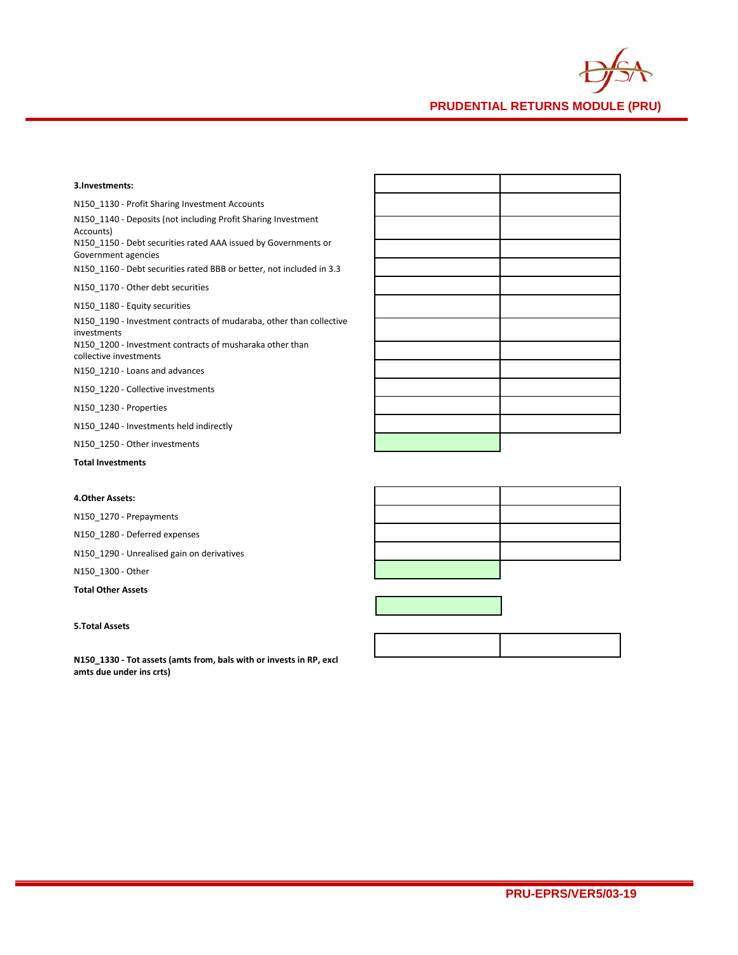

# **4.Other Assets:**

N150\_1270 - Prepayments

N150\_1280 - Deferred expenses

N150\_1290 - Unrealised gain on derivatives

N150\_1300 - Other

**Total Other Assets**

#### **5.Total Assets**

**N150\_1330 - Tot assets (amts from, bals with or invests in RP, excl amts due under ins crts)**





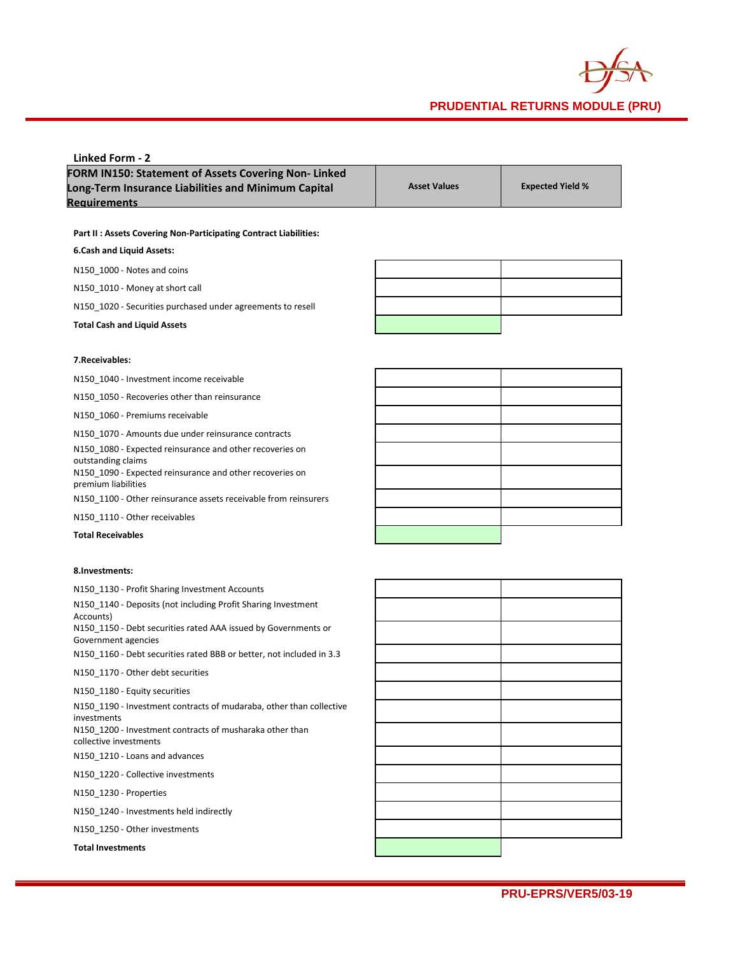

| Linked Form - 2                                            |                     |                         |
|------------------------------------------------------------|---------------------|-------------------------|
| <b>FORM IN150: Statement of Assets Covering Non-Linked</b> |                     |                         |
| Long-Term Insurance Liabilities and Minimum Capital        | <b>Asset Values</b> | <b>Expected Yield %</b> |
| <b>Requirements</b>                                        |                     |                         |

**Part II : Assets Covering Non-Participating Contract Liabilities:**

### **6.Cash and Liquid Assets:**

N150\_1000 - Notes and coins

N150\_1010 - Money at short call

N150\_1020 - Securities purchased under agreements to resell

**Total Cash and Liquid Assets**

### **7.Receivables:**

N150\_1040 - Investment income receivable

N150\_1050 - Recoveries other than reinsurance

N150\_1060 - Premiums receivable

N150\_1070 - Amounts due under reinsurance contracts N150\_1080 - Expected reinsurance and other recoveries on

outstanding claims N150\_1090 - Expected reinsurance and other recoveries on premium liabilities

N150\_1100 - Other reinsurance assets receivable from reinsurers

N150\_1110 - Other receivables

**Total Receivables**

### **8.Investments:**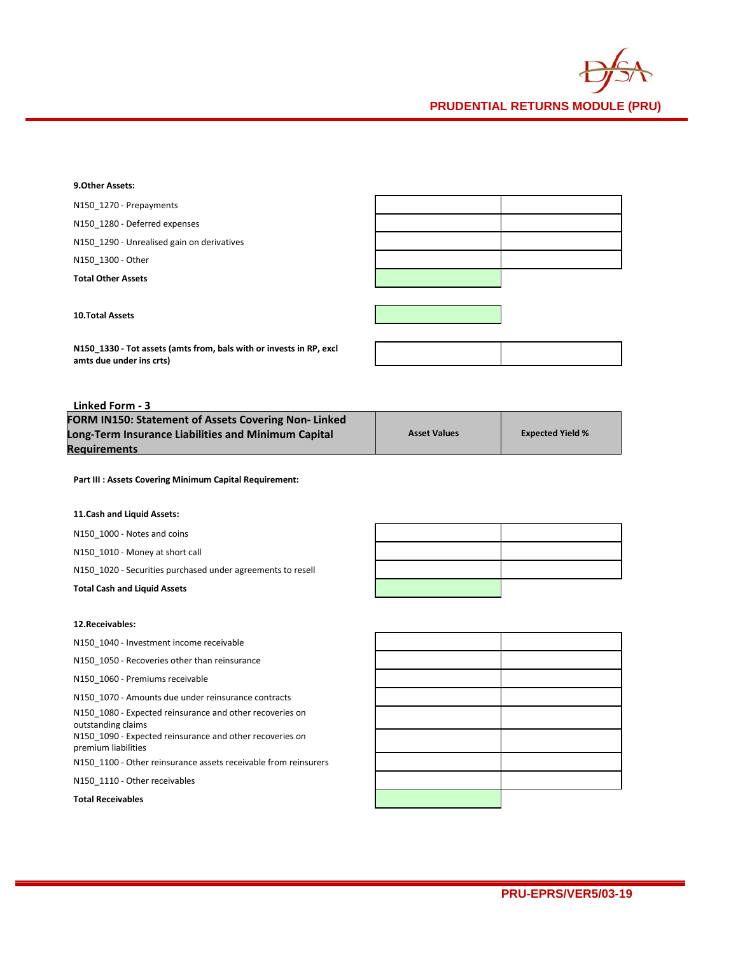

### **9.Other Assets:**

N150\_1270 - Prepayments N150\_1280 - Deferred expenses N150\_1290 - Unrealised gain on derivatives N150\_1300 - Other **Total Other Assets**

**10.Total Assets**

**N150\_1330 - Tot assets (amts from, bals with or invests in RP, excl amts due under ins crts)**

# **Linked Form - 3**

| <b>FORM IN150: Statement of Assets Covering Non-Linked</b> |                     |                         |
|------------------------------------------------------------|---------------------|-------------------------|
| Long-Term Insurance Liabilities and Minimum Capital        | <b>Asset Values</b> | <b>Expected Yield %</b> |
| Reauirements                                               |                     |                         |

**Part III : Assets Covering Minimum Capital Requirement:**

#### **11.Cash and Liquid Assets:**

N150\_1000 - Notes and coins

N150\_1010 - Money at short call

N150\_1020 - Securities purchased under agreements to resell

#### **Total Cash and Liquid Assets**

#### **12.Receivables:**

N150\_1040 - Investment income receivable

N150\_1050 - Recoveries other than reinsurance

N150\_1060 - Premiums receivable

N150\_1070 - Amounts due under reinsurance contracts

N150\_1080 - Expected reinsurance and other recoveries on outstanding claims

N150\_1090 - Expected reinsurance and other recoveries on premium liabilities

N150\_1100 - Other reinsurance assets receivable from reinsurers

N150\_1110 - Other receivables

#### **Total Receivables**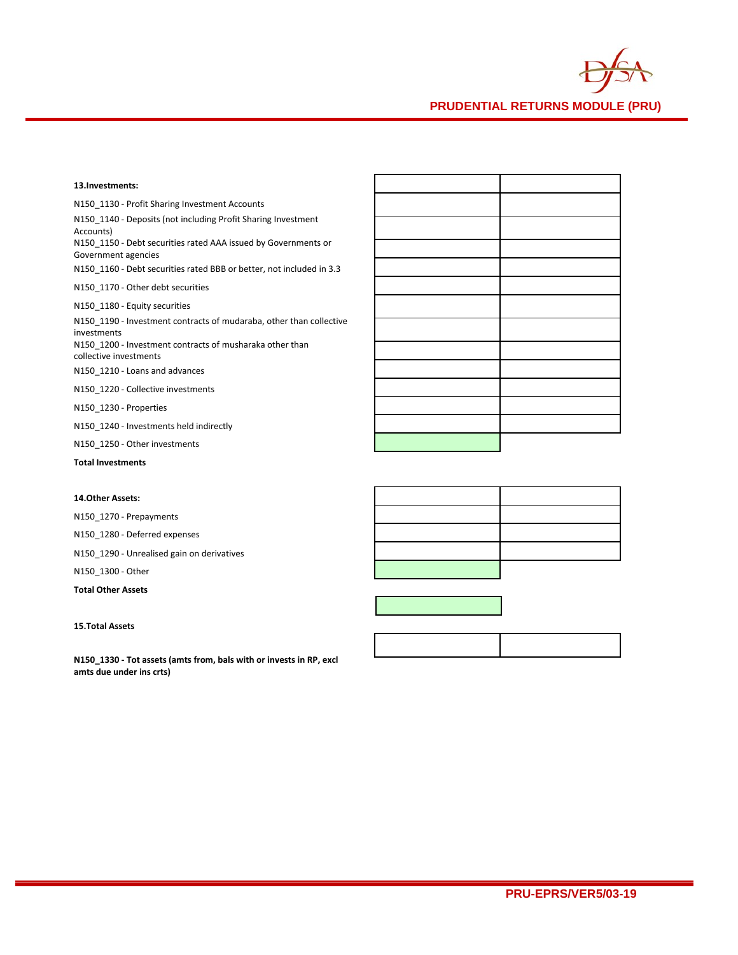

| 13.Investments:                                                                       |  |
|---------------------------------------------------------------------------------------|--|
| N150 1130 - Profit Sharing Investment Accounts                                        |  |
| N150 1140 - Deposits (not including Profit Sharing Investment<br>Accounts)            |  |
| N150 1150 - Debt securities rated AAA issued by Governments or<br>Government agencies |  |
| N150 1160 - Debt securities rated BBB or better, not included in 3.3                  |  |
| N150 1170 - Other debt securities                                                     |  |
| N150 1180 - Equity securities                                                         |  |
| N150 1190 - Investment contracts of mudaraba, other than collective<br>investments    |  |
| N150 1200 - Investment contracts of musharaka other than<br>collective investments    |  |
| N150 1210 - Loans and advances                                                        |  |
| N150 1220 - Collective investments                                                    |  |
| N150 1230 - Properties                                                                |  |
| N150 1240 - Investments held indirectly                                               |  |
| N150 1250 - Other investments                                                         |  |
| <b>Total Investments</b>                                                              |  |
|                                                                                       |  |

# **14.Other Assets:**

N150\_1270 - Prepayments

N150\_1280 - Deferred expenses

N150\_1290 - Unrealised gain on derivatives

N150\_1300 - Other

**Total Other Assets**

# **15.Total Assets**

**N150\_1330 - Tot assets (amts from, bals with or invests in RP, excl amts due under ins crts)**





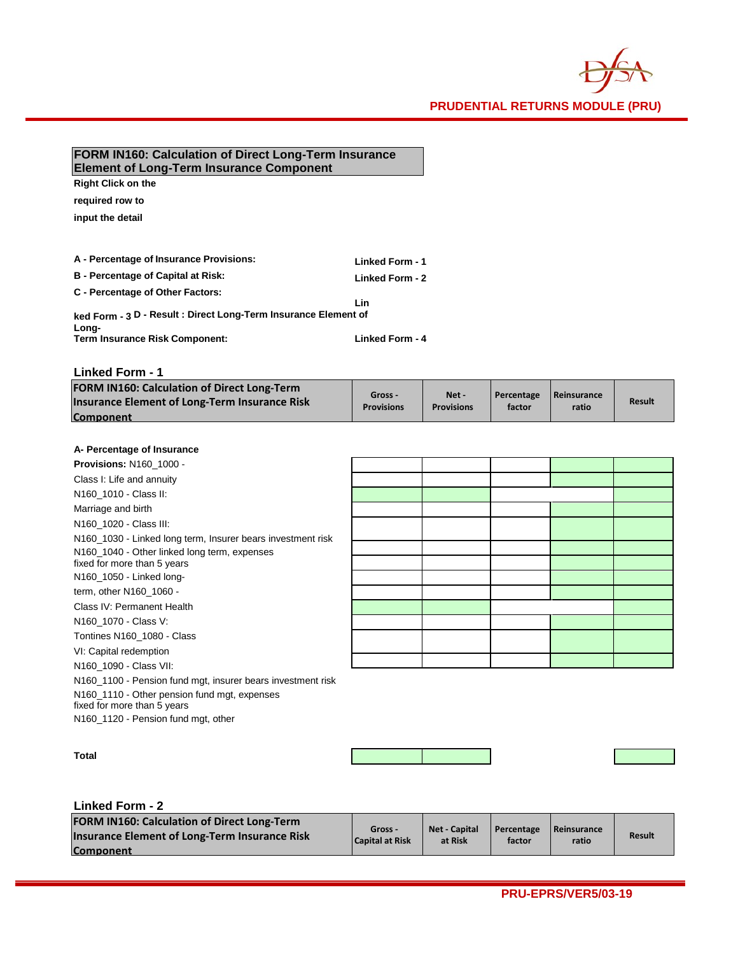

# **FORM IN160: Calculation of Direct Long-Term Insurance Element of Long-Term Insurance Component**

**Right Click on the** 

**required row to** 

**input the detail**

| A - Percentage of Insurance Provisions:                                  | Linked Form - 1 |
|--------------------------------------------------------------------------|-----------------|
| <b>B</b> - Percentage of Capital at Risk:                                | Linked Form - 2 |
| C - Percentage of Other Factors:                                         | Lin             |
| ked Form - 3 D - Result : Direct Long-Term Insurance Element of<br>Long- |                 |
| <b>Term Insurance Risk Component:</b>                                    | Linked Form - 4 |

**Linked Form - 1**

| <b>FORM IN160: Calculation of Direct Long-Term</b><br>Insurance Element of Long-Term Insurance Risk<br><b>Component</b> | Gross -<br><b>Provisions</b> | Net-<br><b>Provisions</b> | Percentage<br>factor | <b>Reinsurance</b><br>ratio | <b>Result</b> |
|-------------------------------------------------------------------------------------------------------------------------|------------------------------|---------------------------|----------------------|-----------------------------|---------------|
|-------------------------------------------------------------------------------------------------------------------------|------------------------------|---------------------------|----------------------|-----------------------------|---------------|

# **A- Percentage of Insurance**

| A FU CHURT OF HISULATIVE                                    |  |  |  |
|-------------------------------------------------------------|--|--|--|
| <b>Provisions: N160 1000 -</b>                              |  |  |  |
| Class I: Life and annuity                                   |  |  |  |
| N160_1010 - Class II:                                       |  |  |  |
| Marriage and birth                                          |  |  |  |
| N160 1020 - Class III:                                      |  |  |  |
| N160_1030 - Linked long term, Insurer bears investment risk |  |  |  |
| N160_1040 - Other linked long term, expenses                |  |  |  |
| fixed for more than 5 years                                 |  |  |  |
| N160_1050 - Linked long-                                    |  |  |  |
| term, other N160_1060 -                                     |  |  |  |
| Class IV: Permanent Health                                  |  |  |  |
| N160_1070 - Class V:                                        |  |  |  |
| Tontines N160 1080 - Class                                  |  |  |  |
| VI: Capital redemption                                      |  |  |  |
| N160 1090 - Class VII:                                      |  |  |  |
| N160_1100 - Pension fund mgt, insurer bears investment risk |  |  |  |
| N160_1110 - Other pension fund mgt, expenses                |  |  |  |
| fixed for more than 5 years                                 |  |  |  |

N160\_1120 - Pension fund mgt, other

# **Linked Form - 2**

**Total**

| <b>FORM IN160: Calculation of Direct Long-Term</b><br><b>Insurance Element of Long-Term Insurance Risk</b><br><b>Component</b> | Gross -<br><b>Capital at Risk</b> | Net Capital<br>at Risk | Percentage<br>factor | Reinsurance<br>ratio | <b>Result</b> |
|--------------------------------------------------------------------------------------------------------------------------------|-----------------------------------|------------------------|----------------------|----------------------|---------------|
|--------------------------------------------------------------------------------------------------------------------------------|-----------------------------------|------------------------|----------------------|----------------------|---------------|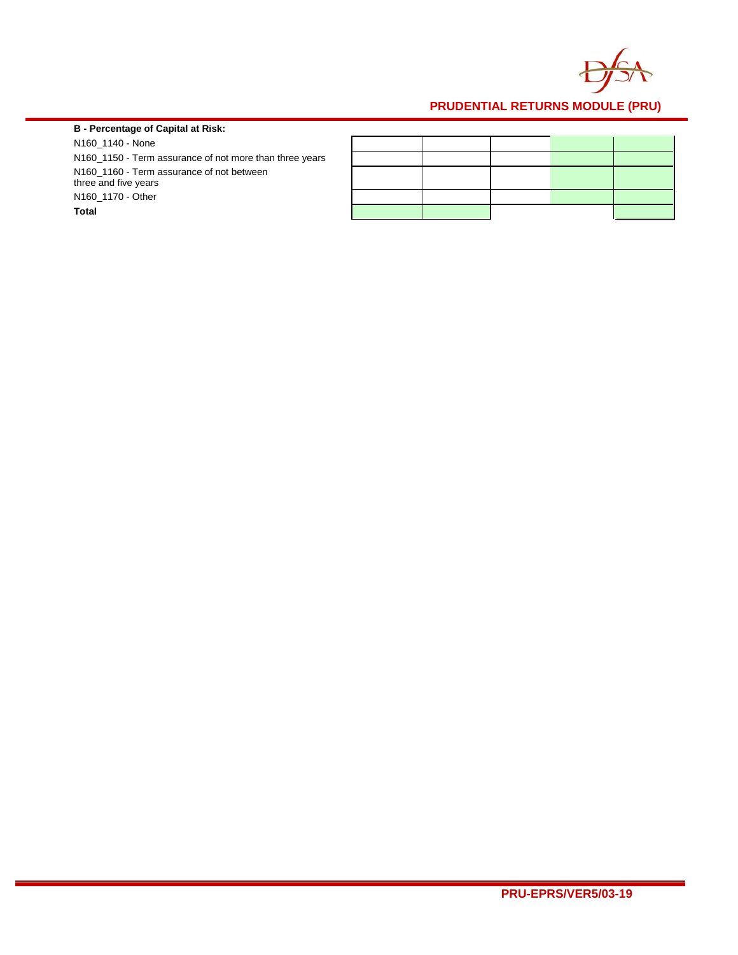

# **B - Percentage of Capital at Risk:**

N160\_1140 - None N160\_1150 - Term assurance of not more than three years N160\_1160 - Term assurance of not between three and five years N160\_1170 - Other **Total**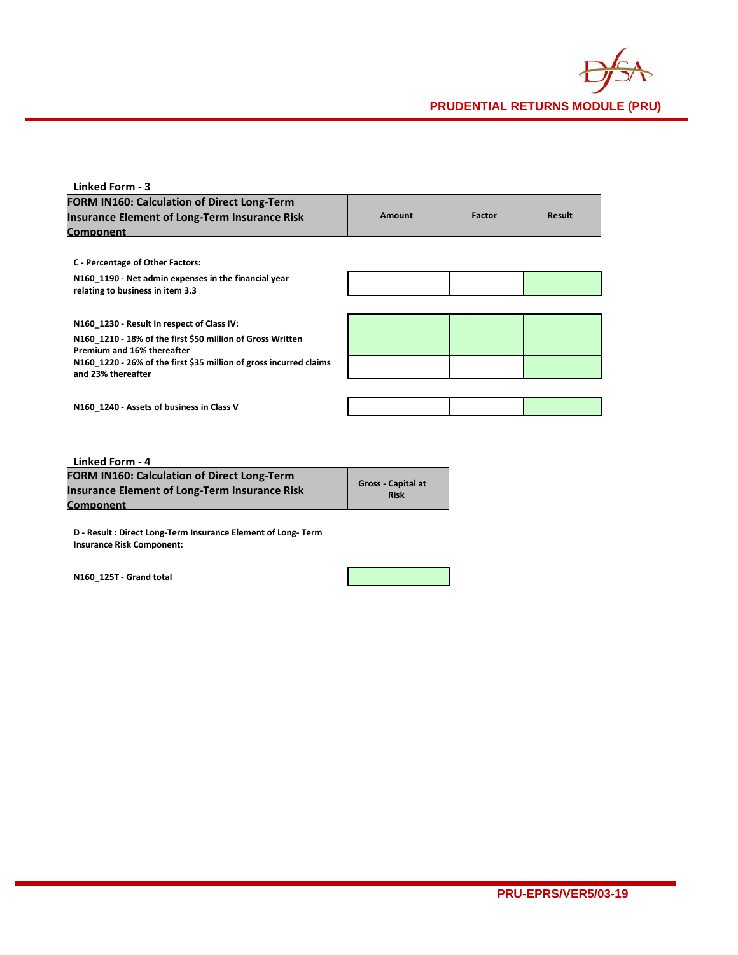

| Linked Form - 3                                                                          |        |        |               |
|------------------------------------------------------------------------------------------|--------|--------|---------------|
| <b>FORM IN160: Calculation of Direct Long-Term</b>                                       |        |        |               |
| <b>Insurance Element of Long-Term Insurance Risk</b>                                     | Amount | Factor | <b>Result</b> |
| Component                                                                                |        |        |               |
|                                                                                          |        |        |               |
| C - Percentage of Other Factors:                                                         |        |        |               |
| N160 1190 - Net admin expenses in the financial year<br>relating to business in item 3.3 |        |        |               |
|                                                                                          |        |        |               |
| N160 1230 - Result In respect of Class IV:                                               |        |        |               |
| N160 1210 - 18% of the first \$50 million of Gross Written<br>Premium and 16% thereafter |        |        |               |
| N160_1220 - 26% of the first \$35 million of gross incurred claims                       |        |        |               |
| and 23% thereafter                                                                       |        |        |               |
|                                                                                          |        |        |               |
| N160 1240 - Assets of business in Class V                                                |        |        |               |
|                                                                                          |        |        |               |
|                                                                                          |        |        |               |
| .                                                                                        |        |        |               |

| Linked Form - 4                                      |                                          |
|------------------------------------------------------|------------------------------------------|
| <b>FORM IN160: Calculation of Direct Long-Term</b>   |                                          |
| <b>Insurance Element of Long-Term Insurance Risk</b> | <b>Gross - Capital at</b><br><b>Risk</b> |
| Component                                            |                                          |

**D - Result : Direct Long-Term Insurance Element of Long- Term Insurance Risk Component:**

**N160\_125T - Grand total**

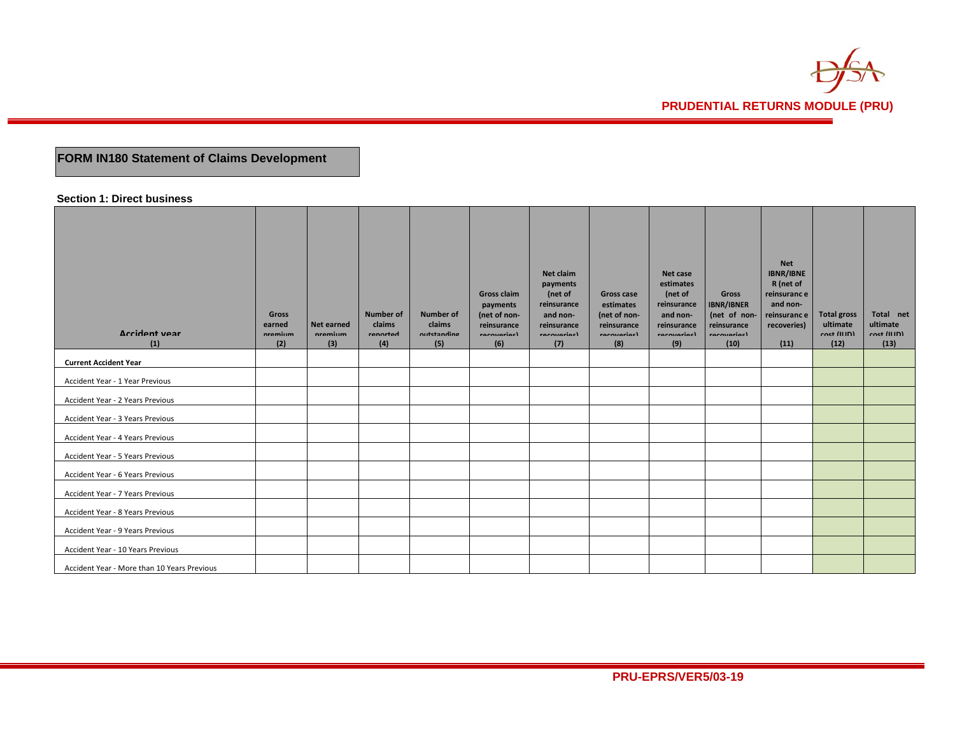

# **FORM IN180 Statement of Claims Development**

## **Section 1: Direct business**

| Arrident vear<br>(1)                        | Gross<br>earned<br>nramium<br>(2) | Net earned<br>nramium<br>(3) | <b>Number of</b><br>claims<br>rannrtad<br>(4) | <b>Number of</b><br>claims<br>nutetanding<br>(5) | <b>Gross claim</b><br>payments<br>(net of non-<br>reinsurance<br>rocoverisel<br>(6) | Net claim<br>payments<br>(net of<br>reinsurance<br>and non-<br>reinsurance<br>rocovariacl<br>(7) | <b>Gross case</b><br>estimates<br>(net of non-<br>reinsurance<br>rocovariacl<br>(8) | Net case<br>estimates<br>(net of<br>reinsurance<br>and non-<br>reinsurance<br>rocoviariael<br>(9) | Gross<br><b>IBNR/IBNER</b><br>(net of non-<br>reinsurance<br>rocovariacl<br>(10) | <b>Net</b><br><b>IBNR/IBNE</b><br>R (net of<br>reinsuranc e<br>and non-<br>reinsuranc e<br>recoveries)<br>(11) | <b>Total gross</b><br>ultimate<br>$rect$ (IIID)<br>(12) | Total net<br>ultimate<br>$rect$ (ILID)<br>(13) |
|---------------------------------------------|-----------------------------------|------------------------------|-----------------------------------------------|--------------------------------------------------|-------------------------------------------------------------------------------------|--------------------------------------------------------------------------------------------------|-------------------------------------------------------------------------------------|---------------------------------------------------------------------------------------------------|----------------------------------------------------------------------------------|----------------------------------------------------------------------------------------------------------------|---------------------------------------------------------|------------------------------------------------|
| <b>Current Accident Year</b>                |                                   |                              |                                               |                                                  |                                                                                     |                                                                                                  |                                                                                     |                                                                                                   |                                                                                  |                                                                                                                |                                                         |                                                |
| Accident Year - 1 Year Previous             |                                   |                              |                                               |                                                  |                                                                                     |                                                                                                  |                                                                                     |                                                                                                   |                                                                                  |                                                                                                                |                                                         |                                                |
| Accident Year - 2 Years Previous            |                                   |                              |                                               |                                                  |                                                                                     |                                                                                                  |                                                                                     |                                                                                                   |                                                                                  |                                                                                                                |                                                         |                                                |
| Accident Year - 3 Years Previous            |                                   |                              |                                               |                                                  |                                                                                     |                                                                                                  |                                                                                     |                                                                                                   |                                                                                  |                                                                                                                |                                                         |                                                |
| Accident Year - 4 Years Previous            |                                   |                              |                                               |                                                  |                                                                                     |                                                                                                  |                                                                                     |                                                                                                   |                                                                                  |                                                                                                                |                                                         |                                                |
| Accident Year - 5 Years Previous            |                                   |                              |                                               |                                                  |                                                                                     |                                                                                                  |                                                                                     |                                                                                                   |                                                                                  |                                                                                                                |                                                         |                                                |
| Accident Year - 6 Years Previous            |                                   |                              |                                               |                                                  |                                                                                     |                                                                                                  |                                                                                     |                                                                                                   |                                                                                  |                                                                                                                |                                                         |                                                |
| Accident Year - 7 Years Previous            |                                   |                              |                                               |                                                  |                                                                                     |                                                                                                  |                                                                                     |                                                                                                   |                                                                                  |                                                                                                                |                                                         |                                                |
| Accident Year - 8 Years Previous            |                                   |                              |                                               |                                                  |                                                                                     |                                                                                                  |                                                                                     |                                                                                                   |                                                                                  |                                                                                                                |                                                         |                                                |
| Accident Year - 9 Years Previous            |                                   |                              |                                               |                                                  |                                                                                     |                                                                                                  |                                                                                     |                                                                                                   |                                                                                  |                                                                                                                |                                                         |                                                |
| Accident Year - 10 Years Previous           |                                   |                              |                                               |                                                  |                                                                                     |                                                                                                  |                                                                                     |                                                                                                   |                                                                                  |                                                                                                                |                                                         |                                                |
| Accident Year - More than 10 Years Previous |                                   |                              |                                               |                                                  |                                                                                     |                                                                                                  |                                                                                     |                                                                                                   |                                                                                  |                                                                                                                |                                                         |                                                |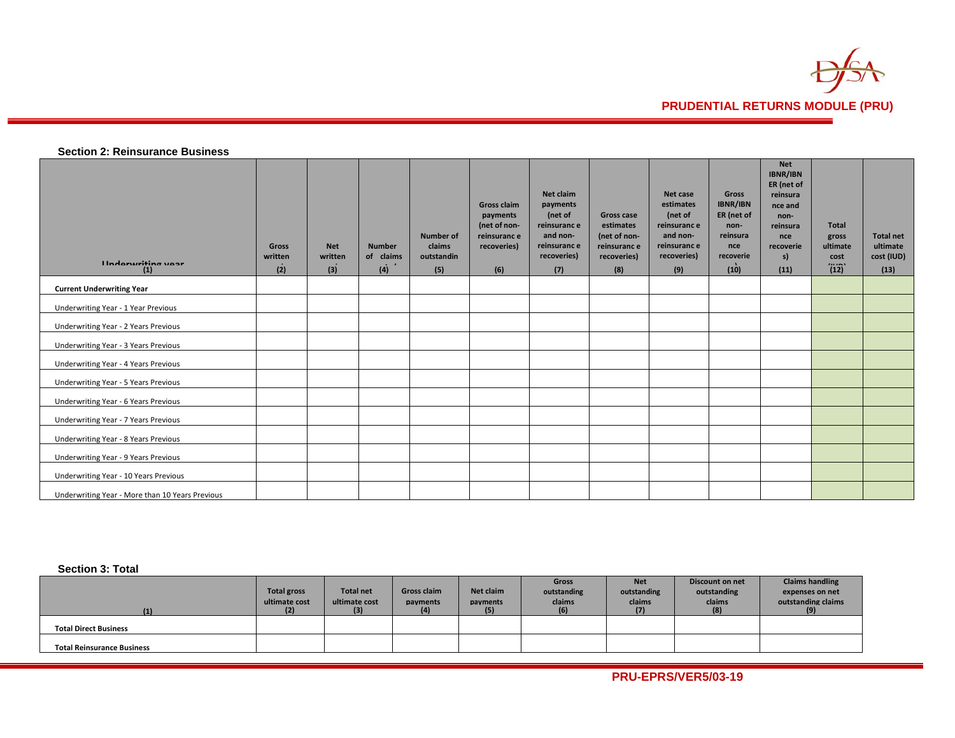

# **Section 2: Reinsurance Business**

| Hadominition uses<br>(1)                        | <b>Gross</b><br>written<br>(2) | <b>Net</b><br>written<br>(3) | <b>Number</b><br>of claims<br>(4) | <b>Number of</b><br>claims<br>outstandin<br>(5) | <b>Gross claim</b><br>payments<br>(net of non-<br>reinsuranc e<br>recoveries)<br>(6) | Net claim<br>payments<br>(net of<br>reinsuranc e<br>and non-<br>reinsuranc e<br>recoveries)<br>(7) | Gross case<br>estimates<br>(net of non-<br>reinsuranc e<br>recoveries)<br>(8) | Net case<br>estimates<br>(net of<br>reinsuranc e<br>and non-<br>reinsuranc e<br>recoveries)<br>(9) | <b>Gross</b><br><b>IBNR/IBN</b><br>ER (net of<br>non-<br>reinsura<br>nce<br>recoverie<br>(10) | <b>Net</b><br>IBNR/IBN<br>ER (net of<br>reinsura<br>nce and<br>non-<br>reinsura<br>nce<br>recoverie<br>s)<br>(11) | <b>Total</b><br>gross<br>ultimate<br>cost<br><br>(12) | <b>Total net</b><br>ultimate<br>cost (IUD)<br>(13) |
|-------------------------------------------------|--------------------------------|------------------------------|-----------------------------------|-------------------------------------------------|--------------------------------------------------------------------------------------|----------------------------------------------------------------------------------------------------|-------------------------------------------------------------------------------|----------------------------------------------------------------------------------------------------|-----------------------------------------------------------------------------------------------|-------------------------------------------------------------------------------------------------------------------|-------------------------------------------------------|----------------------------------------------------|
| <b>Current Underwriting Year</b>                |                                |                              |                                   |                                                 |                                                                                      |                                                                                                    |                                                                               |                                                                                                    |                                                                                               |                                                                                                                   |                                                       |                                                    |
| Underwriting Year - 1 Year Previous             |                                |                              |                                   |                                                 |                                                                                      |                                                                                                    |                                                                               |                                                                                                    |                                                                                               |                                                                                                                   |                                                       |                                                    |
| Underwriting Year - 2 Years Previous            |                                |                              |                                   |                                                 |                                                                                      |                                                                                                    |                                                                               |                                                                                                    |                                                                                               |                                                                                                                   |                                                       |                                                    |
| Underwriting Year - 3 Years Previous            |                                |                              |                                   |                                                 |                                                                                      |                                                                                                    |                                                                               |                                                                                                    |                                                                                               |                                                                                                                   |                                                       |                                                    |
| Underwriting Year - 4 Years Previous            |                                |                              |                                   |                                                 |                                                                                      |                                                                                                    |                                                                               |                                                                                                    |                                                                                               |                                                                                                                   |                                                       |                                                    |
| Underwriting Year - 5 Years Previous            |                                |                              |                                   |                                                 |                                                                                      |                                                                                                    |                                                                               |                                                                                                    |                                                                                               |                                                                                                                   |                                                       |                                                    |
| Underwriting Year - 6 Years Previous            |                                |                              |                                   |                                                 |                                                                                      |                                                                                                    |                                                                               |                                                                                                    |                                                                                               |                                                                                                                   |                                                       |                                                    |
| Underwriting Year - 7 Years Previous            |                                |                              |                                   |                                                 |                                                                                      |                                                                                                    |                                                                               |                                                                                                    |                                                                                               |                                                                                                                   |                                                       |                                                    |
| Underwriting Year - 8 Years Previous            |                                |                              |                                   |                                                 |                                                                                      |                                                                                                    |                                                                               |                                                                                                    |                                                                                               |                                                                                                                   |                                                       |                                                    |
| Underwriting Year - 9 Years Previous            |                                |                              |                                   |                                                 |                                                                                      |                                                                                                    |                                                                               |                                                                                                    |                                                                                               |                                                                                                                   |                                                       |                                                    |
| Underwriting Year - 10 Years Previous           |                                |                              |                                   |                                                 |                                                                                      |                                                                                                    |                                                                               |                                                                                                    |                                                                                               |                                                                                                                   |                                                       |                                                    |
| Underwriting Year - More than 10 Years Previous |                                |                              |                                   |                                                 |                                                                                      |                                                                                                    |                                                                               |                                                                                                    |                                                                                               |                                                                                                                   |                                                       |                                                    |

# **Section 3: Total**

|                                   |                    |                  |                    |           | Gross       | <b>Net</b>  | Discount on net | <b>Claims handling</b> |
|-----------------------------------|--------------------|------------------|--------------------|-----------|-------------|-------------|-----------------|------------------------|
|                                   | <b>Total gross</b> | <b>Total net</b> | <b>Gross claim</b> | Net claim | outstanding | outstanding | outstanding     | expenses on net        |
|                                   | ultimate cost      | ultimate cost    | payments           | payments  | claims      | claims      | claims          | outstanding claims     |
|                                   |                    | (3)              | $\left( 4 \right)$ |           | (6)         |             | (8)             |                        |
|                                   |                    |                  |                    |           |             |             |                 |                        |
| <b>Total Direct Business</b>      |                    |                  |                    |           |             |             |                 |                        |
|                                   |                    |                  |                    |           |             |             |                 |                        |
| <b>Total Reinsurance Business</b> |                    |                  |                    |           |             |             |                 |                        |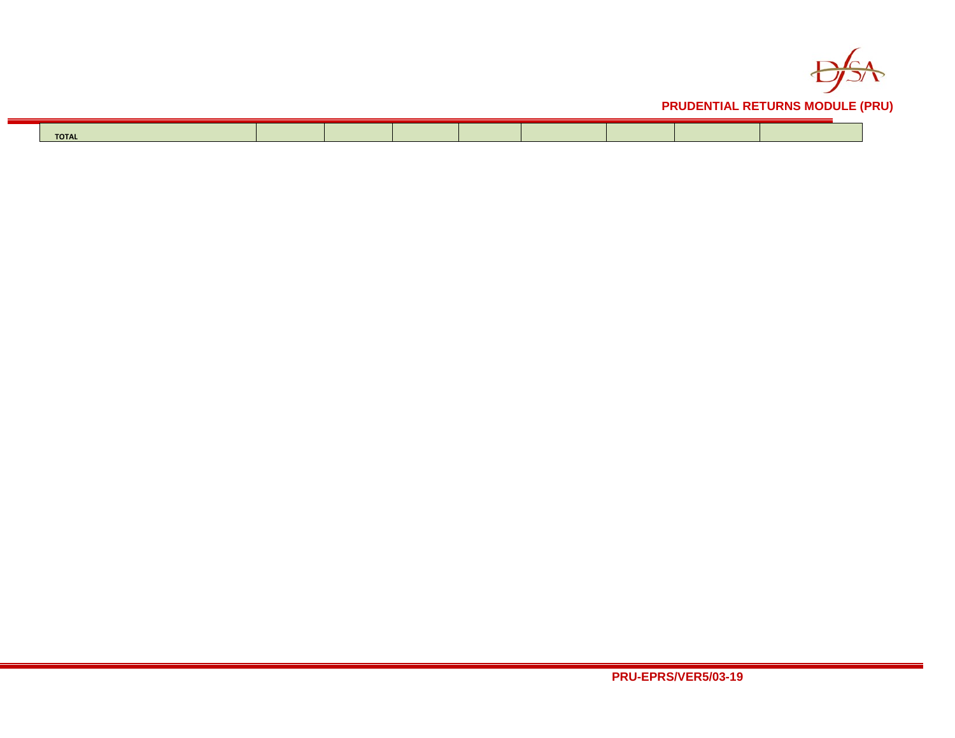

| <b>TOTAL</b> |  |  |  |  |
|--------------|--|--|--|--|
|              |  |  |  |  |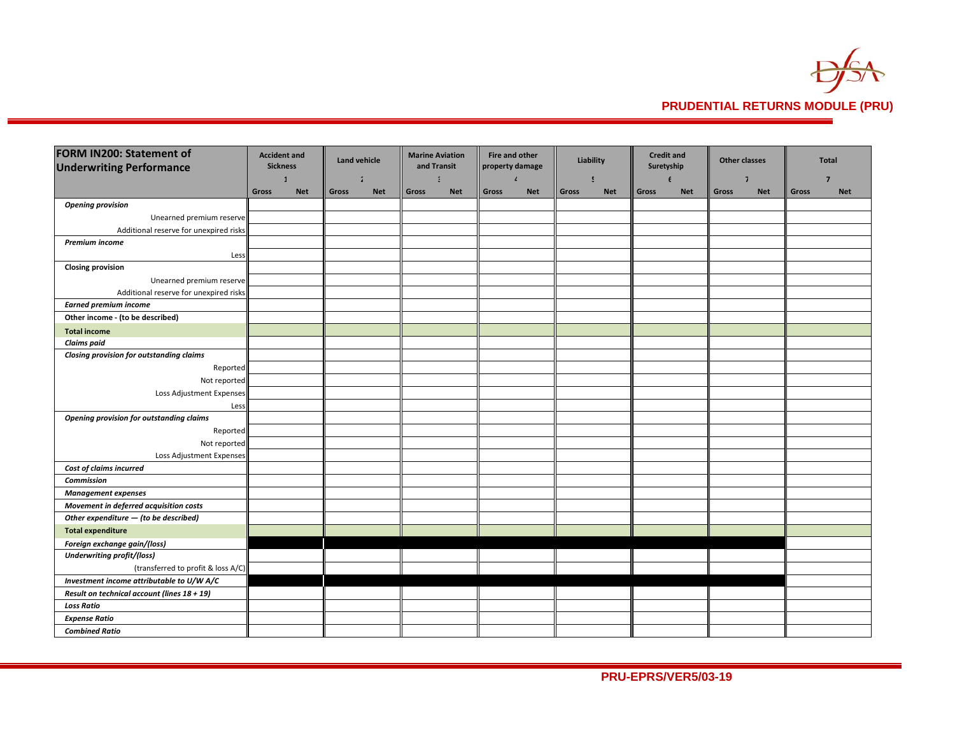

| <b>FORM IN200: Statement of</b>             |       | <b>Accident and</b> |       | <b>Land vehicle</b> |       | <b>Marine Aviation</b> | Fire and other  |              | Liability |            |            | <b>Credit and</b> | <b>Other classes</b> |            |       | <b>Total</b> |
|---------------------------------------------|-------|---------------------|-------|---------------------|-------|------------------------|-----------------|--------------|-----------|------------|------------|-------------------|----------------------|------------|-------|--------------|
| <b>Underwriting Performance</b>             |       | <b>Sickness</b>     |       |                     |       | and Transit            | property damage |              |           |            | Suretyship |                   |                      |            |       |              |
|                                             |       | $\mathbf{1}$        |       | $\overline{a}$      |       | ă.                     |                 | $\mathbf{r}$ | 5         |            |            | $\epsilon$        |                      | ٦.         |       | 7            |
|                                             | Gross | <b>Net</b>          | Gross | <b>Net</b>          | Gross | <b>Net</b>             | Gross           | <b>Net</b>   | Gross     | <b>Net</b> | Gross      | <b>Net</b>        | Gross                | <b>Net</b> | Gross | <b>Net</b>   |
| <b>Opening provision</b>                    |       |                     |       |                     |       |                        |                 |              |           |            |            |                   |                      |            |       |              |
| Unearned premium reserve                    |       |                     |       |                     |       |                        |                 |              |           |            |            |                   |                      |            |       |              |
| Additional reserve for unexpired risks      |       |                     |       |                     |       |                        |                 |              |           |            |            |                   |                      |            |       |              |
| Premium income                              |       |                     |       |                     |       |                        |                 |              |           |            |            |                   |                      |            |       |              |
| Less                                        |       |                     |       |                     |       |                        |                 |              |           |            |            |                   |                      |            |       |              |
| <b>Closing provision</b>                    |       |                     |       |                     |       |                        |                 |              |           |            |            |                   |                      |            |       |              |
| Unearned premium reserve                    |       |                     |       |                     |       |                        |                 |              |           |            |            |                   |                      |            |       |              |
| Additional reserve for unexpired risks      |       |                     |       |                     |       |                        |                 |              |           |            |            |                   |                      |            |       |              |
| <b>Earned premium income</b>                |       |                     |       |                     |       |                        |                 |              |           |            |            |                   |                      |            |       |              |
| Other income - (to be described)            |       |                     |       |                     |       |                        |                 |              |           |            |            |                   |                      |            |       |              |
| <b>Total income</b>                         |       |                     |       |                     |       |                        |                 |              |           |            |            |                   |                      |            |       |              |
| <b>Claims</b> paid                          |       |                     |       |                     |       |                        |                 |              |           |            |            |                   |                      |            |       |              |
| Closing provision for outstanding claims    |       |                     |       |                     |       |                        |                 |              |           |            |            |                   |                      |            |       |              |
| Reported                                    |       |                     |       |                     |       |                        |                 |              |           |            |            |                   |                      |            |       |              |
| Not reported                                |       |                     |       |                     |       |                        |                 |              |           |            |            |                   |                      |            |       |              |
| Loss Adjustment Expenses                    |       |                     |       |                     |       |                        |                 |              |           |            |            |                   |                      |            |       |              |
| Less                                        |       |                     |       |                     |       |                        |                 |              |           |            |            |                   |                      |            |       |              |
| Opening provision for outstanding claims    |       |                     |       |                     |       |                        |                 |              |           |            |            |                   |                      |            |       |              |
| Reported                                    |       |                     |       |                     |       |                        |                 |              |           |            |            |                   |                      |            |       |              |
| Not reported                                |       |                     |       |                     |       |                        |                 |              |           |            |            |                   |                      |            |       |              |
| Loss Adjustment Expenses                    |       |                     |       |                     |       |                        |                 |              |           |            |            |                   |                      |            |       |              |
| Cost of claims incurred                     |       |                     |       |                     |       |                        |                 |              |           |            |            |                   |                      |            |       |              |
| <b>Commission</b>                           |       |                     |       |                     |       |                        |                 |              |           |            |            |                   |                      |            |       |              |
| <b>Management expenses</b>                  |       |                     |       |                     |       |                        |                 |              |           |            |            |                   |                      |            |       |              |
| Movement in deferred acquisition costs      |       |                     |       |                     |       |                        |                 |              |           |            |            |                   |                      |            |       |              |
| Other expenditure - (to be described)       |       |                     |       |                     |       |                        |                 |              |           |            |            |                   |                      |            |       |              |
| <b>Total expenditure</b>                    |       |                     |       |                     |       |                        |                 |              |           |            |            |                   |                      |            |       |              |
| Foreign exchange gain/(loss)                |       |                     |       |                     |       |                        |                 |              |           |            |            |                   |                      |            |       |              |
| <b>Underwriting profit/(loss)</b>           |       |                     |       |                     |       |                        |                 |              |           |            |            |                   |                      |            |       |              |
| (transferred to profit & loss A/C)          |       |                     |       |                     |       |                        |                 |              |           |            |            |                   |                      |            |       |              |
| Investment income attributable to U/W A/C   |       |                     |       |                     |       |                        |                 |              |           |            |            |                   |                      |            |       |              |
| Result on technical account (lines 18 + 19) |       |                     |       |                     |       |                        |                 |              |           |            |            |                   |                      |            |       |              |
| <b>Loss Ratio</b>                           |       |                     |       |                     |       |                        |                 |              |           |            |            |                   |                      |            |       |              |
| <b>Expense Ratio</b>                        |       |                     |       |                     |       |                        |                 |              |           |            |            |                   |                      |            |       |              |
| <b>Combined Ratio</b>                       |       |                     |       |                     |       |                        |                 |              |           |            |            |                   |                      |            |       |              |
|                                             |       |                     |       |                     |       |                        |                 |              |           |            |            |                   |                      |            |       |              |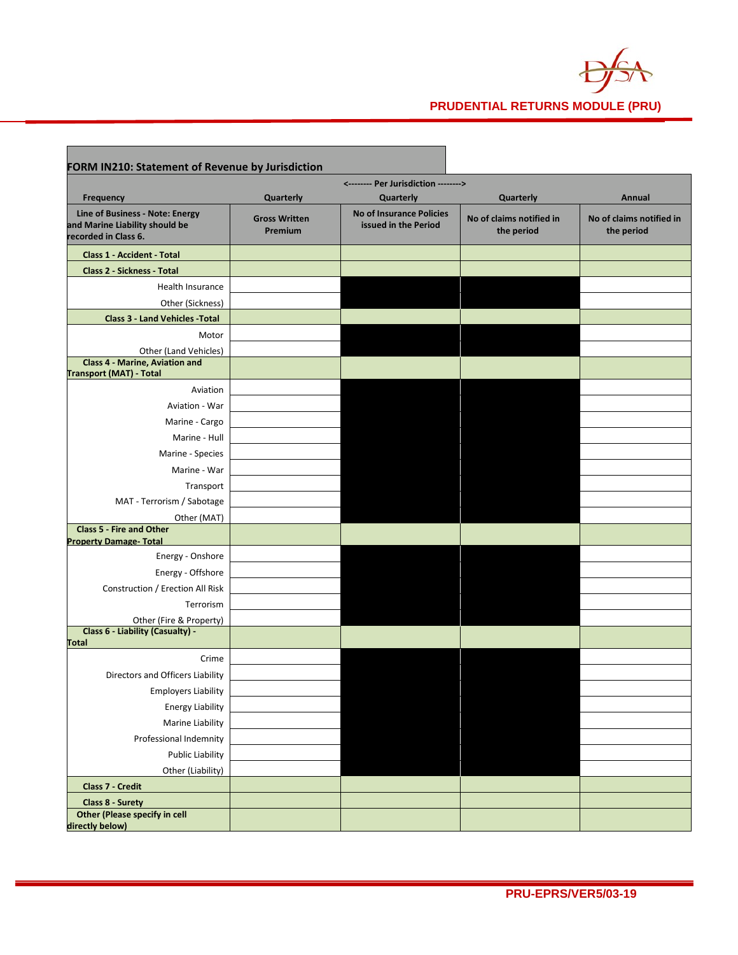

 $\blacksquare$ 

п

| FORM IN210: Statement of Revenue by Jurisdiction                                          |                                 |                                                         |                                        |                                        |
|-------------------------------------------------------------------------------------------|---------------------------------|---------------------------------------------------------|----------------------------------------|----------------------------------------|
|                                                                                           |                                 |                                                         |                                        |                                        |
| Frequency                                                                                 | Quarterly                       | Quarterly                                               | Quarterly                              | Annual                                 |
| Line of Business - Note: Energy<br>and Marine Liability should be<br>recorded in Class 6. | <b>Gross Written</b><br>Premium | <b>No of Insurance Policies</b><br>issued in the Period | No of claims notified in<br>the period | No of claims notified in<br>the period |
| <b>Class 1 - Accident - Total</b>                                                         |                                 |                                                         |                                        |                                        |
| <b>Class 2 - Sickness - Total</b>                                                         |                                 |                                                         |                                        |                                        |
| Health Insurance                                                                          |                                 |                                                         |                                        |                                        |
| Other (Sickness)                                                                          |                                 |                                                         |                                        |                                        |
| <b>Class 3 - Land Vehicles - Total</b>                                                    |                                 |                                                         |                                        |                                        |
| Motor                                                                                     |                                 |                                                         |                                        |                                        |
| Other (Land Vehicles)                                                                     |                                 |                                                         |                                        |                                        |
| <b>Class 4 - Marine, Aviation and</b><br><b>Transport (MAT) - Total</b>                   |                                 |                                                         |                                        |                                        |
| Aviation                                                                                  |                                 |                                                         |                                        |                                        |
| Aviation - War                                                                            |                                 |                                                         |                                        |                                        |
| Marine - Cargo                                                                            |                                 |                                                         |                                        |                                        |
| Marine - Hull                                                                             |                                 |                                                         |                                        |                                        |
| Marine - Species                                                                          |                                 |                                                         |                                        |                                        |
| Marine - War                                                                              |                                 |                                                         |                                        |                                        |
| Transport                                                                                 |                                 |                                                         |                                        |                                        |
| MAT - Terrorism / Sabotage                                                                |                                 |                                                         |                                        |                                        |
| Other (MAT)                                                                               |                                 |                                                         |                                        |                                        |
| <b>Class 5 - Fire and Other</b>                                                           |                                 |                                                         |                                        |                                        |
| <b>Property Damage- Total</b><br>Energy - Onshore                                         |                                 |                                                         |                                        |                                        |
|                                                                                           |                                 |                                                         |                                        |                                        |
| Energy - Offshore<br>Construction / Erection All Risk                                     |                                 |                                                         |                                        |                                        |
| Terrorism                                                                                 |                                 |                                                         |                                        |                                        |
|                                                                                           |                                 |                                                         |                                        |                                        |
| Other (Fire & Property)<br>Class 6 - Liability (Casualty) -                               |                                 |                                                         |                                        |                                        |
| <b>Total</b>                                                                              |                                 |                                                         |                                        |                                        |
| Crime                                                                                     |                                 |                                                         |                                        |                                        |
| Directors and Officers Liability                                                          |                                 |                                                         |                                        |                                        |
| <b>Employers Liability</b>                                                                |                                 |                                                         |                                        |                                        |
| <b>Energy Liability</b>                                                                   |                                 |                                                         |                                        |                                        |
| Marine Liability                                                                          |                                 |                                                         |                                        |                                        |
| Professional Indemnity                                                                    |                                 |                                                         |                                        |                                        |
| <b>Public Liability</b>                                                                   |                                 |                                                         |                                        |                                        |
| Other (Liability)                                                                         |                                 |                                                         |                                        |                                        |
| Class 7 - Credit                                                                          |                                 |                                                         |                                        |                                        |
| Class 8 - Surety                                                                          |                                 |                                                         |                                        |                                        |
| <b>Other (Please specify in cell</b><br>directly below)                                   |                                 |                                                         |                                        |                                        |